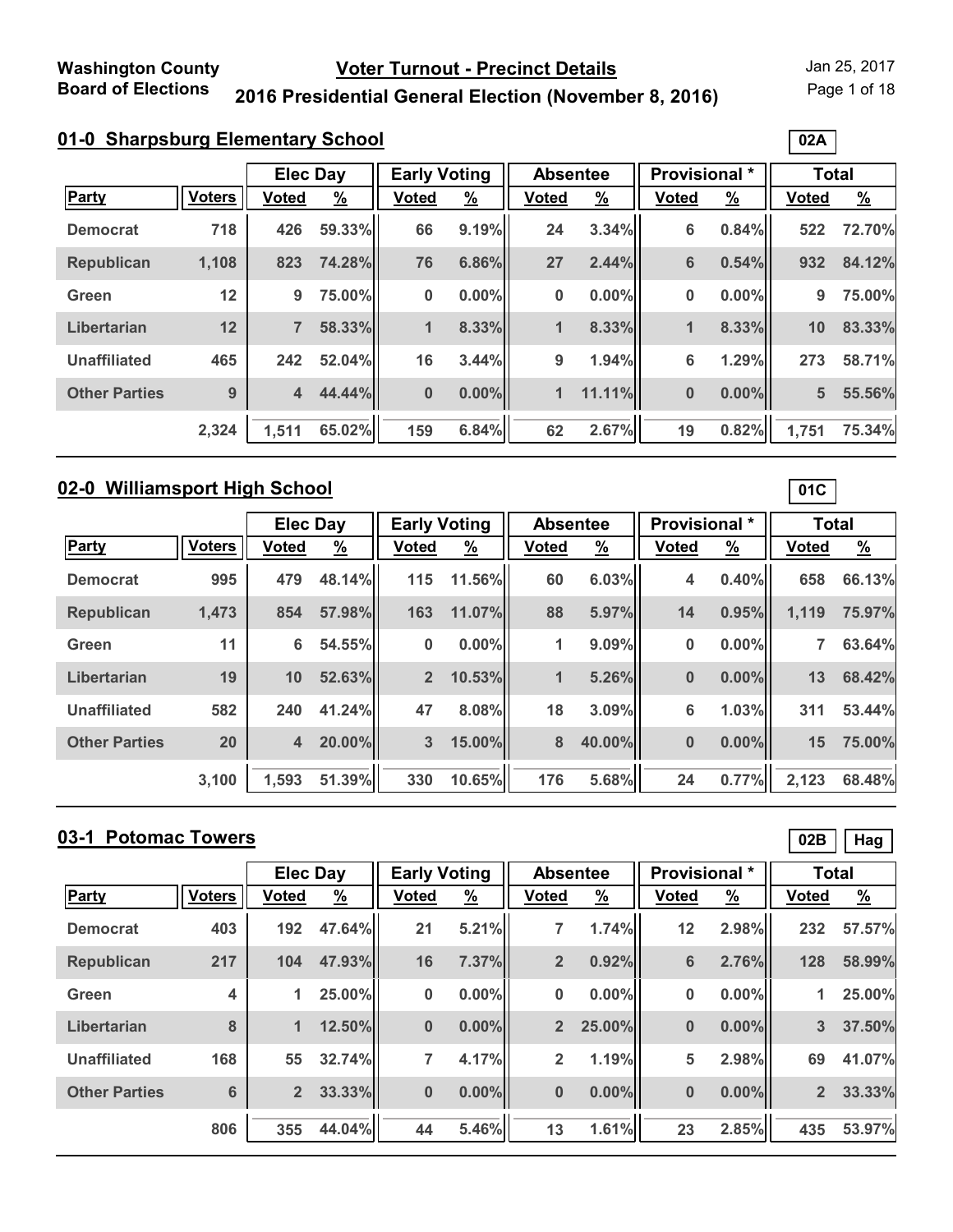Page 1 of 18

**02A**

**01C**

### **2016 Presidential General Election (November 8, 2016)**

|                      |               |                | <b>Elec Day</b> |              | <b>Early Voting</b> |              | <b>Absentee</b> | Provisional * |               | <b>Total</b>    |               |
|----------------------|---------------|----------------|-----------------|--------------|---------------------|--------------|-----------------|---------------|---------------|-----------------|---------------|
| <b>Party</b>         | <b>Voters</b> | <b>Voted</b>   | <u>%</u>        | <b>Voted</b> | $\frac{9}{6}$       | <b>Voted</b> | $\frac{9}{6}$   | <b>Voted</b>  | $\frac{9}{6}$ | <b>Voted</b>    | $\frac{9}{6}$ |
| <b>Democrat</b>      | 718           | 426            | 59.33%          | 66           | 9.19%               | 24           | 3.34%           | 6             | 0.84%         | 522             | 72.70%        |
| <b>Republican</b>    | 1,108         | 823            | 74.28%          | 76           | 6.86%               | 27           | 2.44%           | 6             | 0.54%         | 932             | 84.12%        |
| Green                | 12            | 9              | 75.00%          | 0            | 0.00%               | 0            | $0.00\%$        | 0             | 0.00%         | 9               | 75.00%        |
| Libertarian          | 12            | 7              | 58.33%          | 1            | 8.33%               | 1            | 8.33%           | $\mathbf 1$   | 8.33%         | 10              | 83.33%        |
| <b>Unaffiliated</b>  | 465           | 242            | 52.04%          | 16           | 3.44%               | 9            | 1.94%           | 6             | 1.29%         | 273             | 58.71%        |
| <b>Other Parties</b> | 9             | $\overline{4}$ | 44.44%          | $\bf{0}$     | $0.00\%$            | 1            | 11.11%          | 0             | 0.00%         | $5\overline{5}$ | 55.56%        |
|                      | 2,324         | 1,511          | 65.02%          | 159          | 6.84%               | 62           | 2.67%           | 19            | 0.82%         | 1,751           | 75.34%        |

# **02-0 Williamsport High School**

|                      |               |                | <b>Elec Day</b> |                | <b>Early Voting</b> |              | <b>Absentee</b> | <b>Provisional *</b> |               | <b>Total</b> |               |
|----------------------|---------------|----------------|-----------------|----------------|---------------------|--------------|-----------------|----------------------|---------------|--------------|---------------|
| Party                | <b>Voters</b> | <b>Voted</b>   | $\frac{9}{6}$   | <b>Voted</b>   | $\frac{9}{6}$       | <b>Voted</b> | <u>%</u>        | <b>Voted</b>         | $\frac{9}{6}$ | <b>Voted</b> | $\frac{9}{6}$ |
| <b>Democrat</b>      | 995           | 479            | 48.14%          | $115$          | 11.56%              | 60           | 6.03%           | 4                    | 0.40%         | 658          | 66.13%        |
| <b>Republican</b>    | 1,473         | 854            | 57.98%          | 163            | 11.07%              | 88           | 5.97%           | 14                   | 0.95%         | 1,119        | 75.97%        |
| Green                | 11            | 6              | 54.55%          | 0              | $0.00\%$            | 1            | 9.09%           | 0                    | $0.00\%$      |              | 63.64%        |
| Libertarian          | 19            | 10             | 52.63%          | 2 <sup>2</sup> | 10.53%              | 1            | 5.26%           | $\bf{0}$             | 0.00%         | 13           | 68.42%        |
| <b>Unaffiliated</b>  | 582           | 240            | 41.24%          | 47             | 8.08%               | 18           | 3.09%           | 6                    | 1.03%         | 311          | 53.44%        |
| <b>Other Parties</b> | 20            | $\overline{4}$ | 20.00%          | $\overline{3}$ | 15.00%              | 8            | 40.00%          | $\bf{0}$             | 0.00%         | 15           | 75.00%        |
|                      | 3,100         | 1.593          | 51.39%          | 330            | 10.65%              | 176          | 5.68%           | 24                   | 0.77%         | 2,123        | 68.48%        |

# **03-1 Potomac Towers**

|                      |                         |                | <b>Elec Day</b> |              | <b>Early Voting</b> |                | <b>Absentee</b> |              | <b>Provisional</b> * | <b>Total</b>   |               |
|----------------------|-------------------------|----------------|-----------------|--------------|---------------------|----------------|-----------------|--------------|----------------------|----------------|---------------|
| Party                | <b>Voters</b>           | <b>Voted</b>   | $\frac{9}{6}$   | <b>Voted</b> | <u>%</u>            | <b>Voted</b>   | $\frac{9}{6}$   | <b>Voted</b> | <u>%</u>             | <b>Voted</b>   | $\frac{9}{6}$ |
| <b>Democrat</b>      | 403                     | 192            | 47.64%          | 21           | 5.21%               |                | 1.74%           | 12           | 2.98%                | 232            | 57.57%        |
| <b>Republican</b>    | 217                     | 104            | 47.93%          | 16           | 7.37%               | $\overline{2}$ | 0.92%           | 6            | 2.76%                | 128            | 58.99%        |
| Green                | $\overline{\mathbf{4}}$ | 1              | 25.00%          | 0            | 0.00%               | $\bf{0}$       | $0.00\%$        | 0            | $0.00\%$             | 1              | 25.00%        |
| Libertarian          | 8                       | 1              | 12.50%          | 0            | $0.00\%$            | 2 <sup>2</sup> | 25.00%          | $\bf{0}$     | $0.00\%$             | $\overline{3}$ | 37.50%        |
| <b>Unaffiliated</b>  | 168                     | 55             | 32.74%          | 7            | 4.17%               | $\overline{2}$ | 1.19%           | 5            | 2.98%                | 69             | 41.07%        |
| <b>Other Parties</b> | 6                       | $\overline{2}$ | 33.33%          | $\bf{0}$     | $0.00\%$            | $\bf{0}$       | $0.00\%$        | $\bf{0}$     | $0.00\%$             | 2 <sup>1</sup> | 33.33%        |
|                      | 806                     | 355            | 44.04%          | 44           | 5.46%               | 13             | 1.61%           | 23           | 2.85%                | 435            | 53.97%        |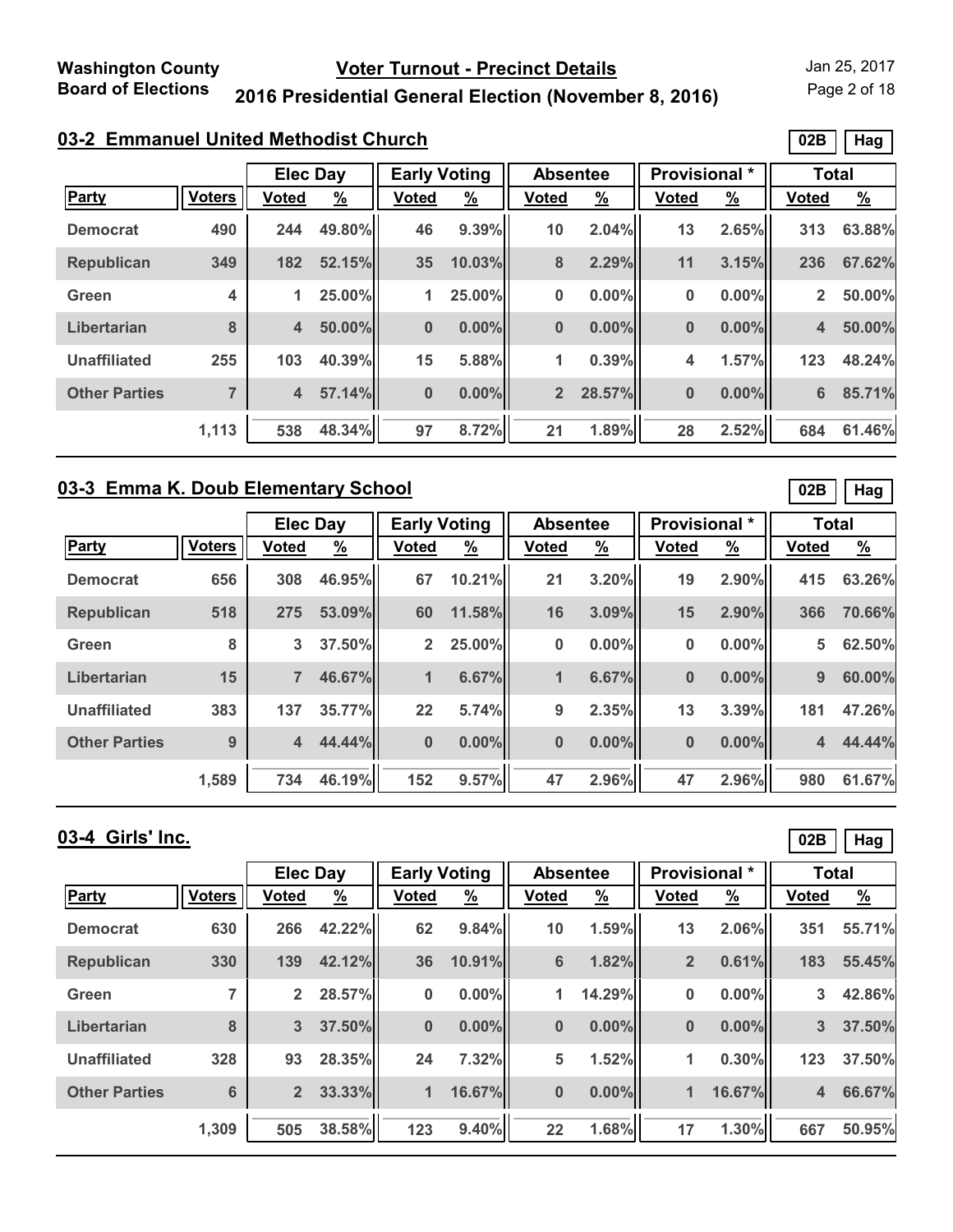Page 2 of 18

### **2016 Presidential General Election (November 8, 2016)**

# **03-2 Emmanuel United Methodist Church**

|                      |                |                | <b>Elec Day</b> |              | <b>Early Voting</b> |                | <b>Absentee</b> |              | Provisional * | <b>Total</b>            |               |
|----------------------|----------------|----------------|-----------------|--------------|---------------------|----------------|-----------------|--------------|---------------|-------------------------|---------------|
| <b>Party</b>         | <b>Voters</b>  | <b>Voted</b>   | $\frac{9}{6}$   | <b>Voted</b> | $\frac{9}{6}$       | <b>Voted</b>   | $\frac{9}{6}$   | <b>Voted</b> | $\frac{9}{6}$ | <b>Voted</b>            | $\frac{9}{6}$ |
| <b>Democrat</b>      | 490            | 244            | 49.80%          | 46           | 9.39%               | 10             | 2.04%           | 13           | 2.65%         | 313                     | 63.88%        |
| <b>Republican</b>    | 349            | 182            | 52.15%          | 35           | 10.03%              | 8              | 2.29%           | 11           | 3.15%         | 236                     | 67.62%        |
| Green                | 4              | 1.             | 25.00%          | 1.           | 25.00%              | 0              | $0.00\%$        | 0            | 0.00%         | $\overline{2}$          | 50.00%        |
| Libertarian          | 8              | $\overline{4}$ | 50.00%          | $\bf{0}$     | $0.00\%$            | $\bf{0}$       | $0.00\%$        | $\bf{0}$     | $0.00\%$      | $\overline{\mathbf{4}}$ | 50.00%        |
| <b>Unaffiliated</b>  | 255            | 103            | 40.39%          | 15           | 5.88%               | 1              | 0.39%           | 4            | 1.57%         | 123                     | 48.24%        |
| <b>Other Parties</b> | $\overline{7}$ | $\overline{4}$ | 57.14%          | $\bf{0}$     | $0.00\%$            | $\overline{2}$ | 28.57%          | $\bf{0}$     | $0.00\%$      | 6                       | 85.71%        |
|                      | 1,113          | 538            | 48.34%          | 97           | 8.72%               | 21             | 1.89%           | 28           | 2.52%         | 684                     | 61.46%        |

#### **03-3 Emma K. Doub Elementary School**

|                      |               |                | <b>Elec Day</b> |                | <b>Early Voting</b> |              | <b>Absentee</b> |              | Provisional * | <b>Total</b>            |               |
|----------------------|---------------|----------------|-----------------|----------------|---------------------|--------------|-----------------|--------------|---------------|-------------------------|---------------|
| Party                | <b>Voters</b> | <b>Voted</b>   | <u>%</u>        | <b>Voted</b>   | $\frac{9}{6}$       | <b>Voted</b> | $\frac{9}{6}$   | <b>Voted</b> | $\frac{9}{6}$ | <b>Voted</b>            | $\frac{9}{6}$ |
| <b>Democrat</b>      | 656           | 308            | 46.95%          | 67             | 10.21%              | 21           | 3.20%           | 19           | 2.90%         | 415                     | 63.26%        |
| <b>Republican</b>    | 518           | 275            | 53.09%          | 60             | 11.58%              | 16           | 3.09%           | 15           | 2.90%         | 366                     | 70.66%        |
| Green                | 8             | 3              | 37.50%          | $\overline{2}$ | 25.00%              | 0            | $0.00\%$        | 0            | 0.00%         | 5                       | 62.50%        |
| Libertarian          | 15            | 7              | 46.67%          | $\blacksquare$ | 6.67%               | 1            | 6.67%           | 0            | 0.00%         | 9                       | 60.00%        |
| <b>Unaffiliated</b>  | 383           | 137            | 35.77%          | 22             | 5.74%               | 9            | 2.35%           | 13           | 3.39%         | 181                     | 47.26%        |
| <b>Other Parties</b> | 9             | $\overline{4}$ | 44.44%          | $\bf{0}$       | $0.00\%$            | $\bf{0}$     | $0.00\%$        | 0            | 0.00%         | $\overline{\mathbf{4}}$ | 44.44%        |
|                      | 1,589         | 734            | 46.19%          | 152            | 9.57%               | 47           | 2.96%           | 47           | 2.96%         | 980                     | 61.67%        |

#### **03-4 Girls' Inc.**

**02B Hag**

**02B Hag**

|                      | <b>Elec Day</b> |                | <b>Early Voting</b> |              | <b>Absentee</b> |              | <b>Provisional</b> * |                | <b>Total</b>  |              |               |
|----------------------|-----------------|----------------|---------------------|--------------|-----------------|--------------|----------------------|----------------|---------------|--------------|---------------|
| Party                | <b>Voters</b>   | <b>Voted</b>   | $\frac{9}{6}$       | <b>Voted</b> | $\frac{9}{6}$   | <b>Voted</b> | $\frac{9}{6}$        | <b>Voted</b>   | $\frac{9}{6}$ | <b>Voted</b> | $\frac{9}{6}$ |
| <b>Democrat</b>      | 630             | 266            | 42.22%              | 62           | 9.84%           | 10           | 1.59%                | 13             | 2.06%         | 351          | 55.71%        |
| <b>Republican</b>    | 330             | 139            | 42.12%              | 36           | 10.91%          | 6            | 1.82%                | $\overline{2}$ | 0.61%         | 183          | 55.45%        |
| Green                | $\overline{ }$  | $\overline{2}$ | 28.57%              | 0            | $0.00\%$        | 1            | 14.29%               | 0              | $0.00\%$      | 3            | 42.86%        |
| Libertarian          | 8               | 3              | 37.50%              | 0            | 0.00%           | $\bf{0}$     | $0.00\%$             | $\bf{0}$       | $0.00\%$      | 3            | 37.50%        |
| <b>Unaffiliated</b>  | 328             | 93             | 28.35%              | 24           | 7.32%           | 5            | 1.52%                | 1              | 0.30%         | 123          | 37.50%        |
| <b>Other Parties</b> | 6               | $\overline{2}$ | 33.33%              | 1            | 16.67%          | $\bf{0}$     | $0.00\%$             | $\mathbf{1}$   | 16.67%        | 4            | 66.67%        |
|                      | 1,309           | 505            | 38.58%              | 123          | 9.40%           | 22           | 1.68%                | 17             | 1.30%         | 667          | 50.95%        |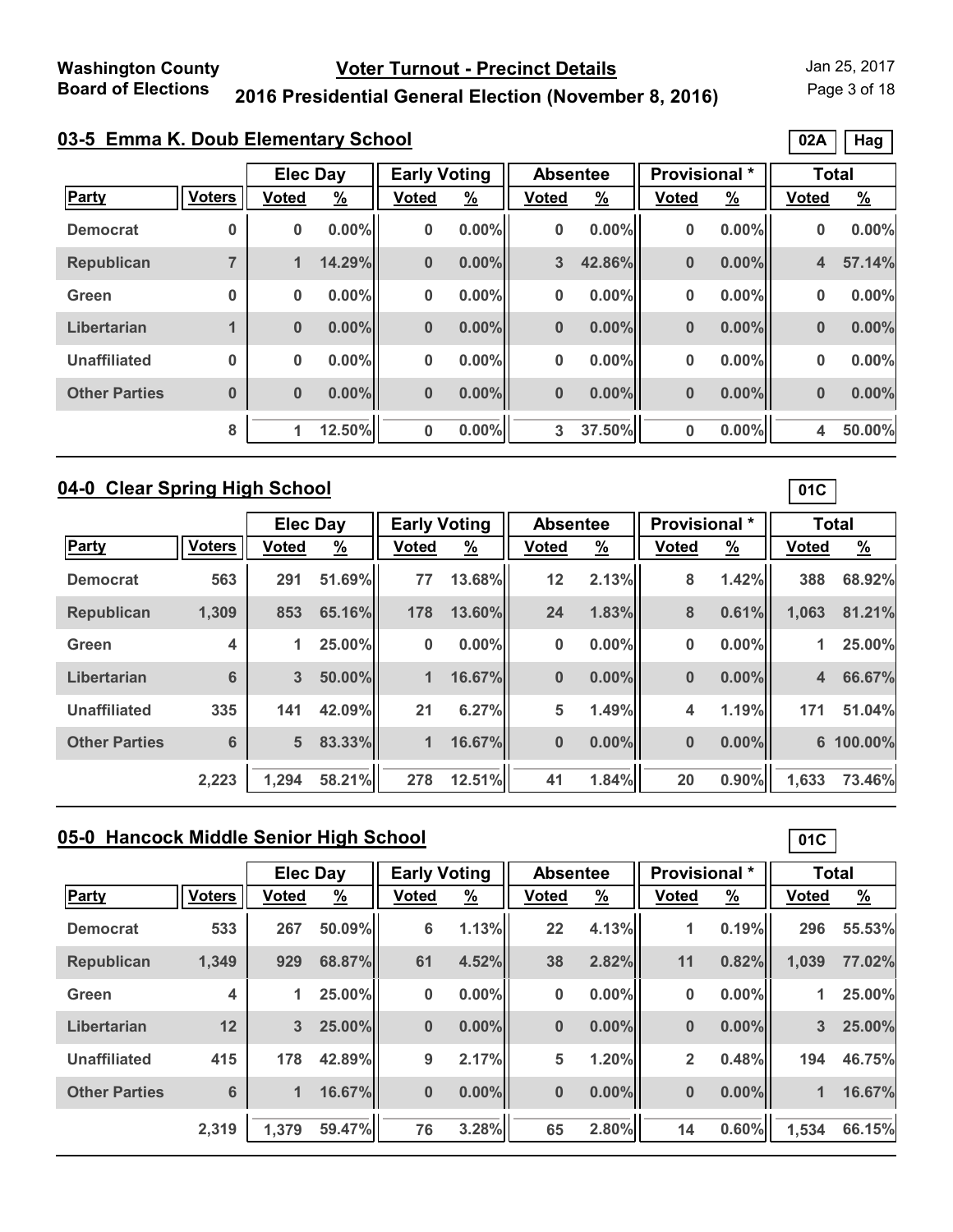Page 3 of 18

**02A Hag**

# **2016 Presidential General Election (November 8, 2016)**

|  |  | 03-5 Emma K. Doub Elementary School |  |
|--|--|-------------------------------------|--|
|  |  |                                     |  |

|                      |                |              | <b>Elec Day</b> |              | <b>Early Voting</b> |              | <b>Absentee</b> | Provisional * |               | <b>Total</b> |               |
|----------------------|----------------|--------------|-----------------|--------------|---------------------|--------------|-----------------|---------------|---------------|--------------|---------------|
| Party                | <b>Voters</b>  | <b>Voted</b> | $\frac{9}{6}$   | <b>Voted</b> | $\frac{9}{6}$       | <b>Voted</b> | $\frac{9}{6}$   | <b>Voted</b>  | $\frac{9}{6}$ | <b>Voted</b> | $\frac{9}{6}$ |
| <b>Democrat</b>      | 0              | 0            | $0.00\%$        | $\bf{0}$     | $0.00\%$            | 0            | $0.00\%$        | 0             | 0.00%         | $\bf{0}$     | 0.00%         |
| <b>Republican</b>    | $\overline{ }$ | 1            | 14.29%          | $\bf{0}$     | $0.00\%$            | 3            | 42.86%          | $\bf{0}$      | $0.00\%$      | 4            | 57.14%        |
| Green                | $\bf{0}$       | 0            | $0.00\%$        | $\bf{0}$     | $0.00\%$            | 0            | $0.00\%$        | 0             | 0.00%         | 0            | 0.00%         |
| Libertarian          |                | $\bf{0}$     | $0.00\%$        | $\bf{0}$     | $0.00\%$            | $\bf{0}$     | $0.00\%$        | $\bf{0}$      | $0.00\%$      | $\bf{0}$     | 0.00%         |
| <b>Unaffiliated</b>  | $\bf{0}$       | 0            | $0.00\%$        | $\bf{0}$     | $0.00\%$            | 0            | $0.00\%$        | 0             | 0.00%         | $\bf{0}$     | 0.00%         |
| <b>Other Parties</b> | $\bf{0}$       | $\bf{0}$     | $0.00\%$        | $\bf{0}$     | $0.00\%$            | $\bf{0}$     | $0.00\%$        | $\bf{0}$      | 0.00%         | $\bf{0}$     | 0.00%         |
|                      | 8              | 1            | 12.50%          | $\bf{0}$     | $0.00\%$            | 3            | 37.50%          | 0             | $0.00\%$      | 4            | 50.00%        |

### **04-0 Clear Spring High School**

|                      |                         |              | <b>Elec Day</b> |              | <b>Early Voting</b> |              | <b>Absentee</b> |              | Provisional * | <b>Total</b>            |               |
|----------------------|-------------------------|--------------|-----------------|--------------|---------------------|--------------|-----------------|--------------|---------------|-------------------------|---------------|
| <b>Party</b>         | <b>Voters</b>           | <b>Voted</b> | $\frac{9}{6}$   | <b>Voted</b> | $\frac{9}{6}$       | <b>Voted</b> | <u>%</u>        | <b>Voted</b> | $\frac{9}{6}$ | <b>Voted</b>            | $\frac{9}{6}$ |
| <b>Democrat</b>      | 563                     | 291          | 51.69%          | 77           | 13.68%              | 12           | 2.13%           | 8            | 1.42%         | 388                     | 68.92%        |
| <b>Republican</b>    | 1,309                   | 853          | 65.16%          | 178          | 13.60%              | 24           | 1.83%           | 8            | 0.61%         | 1,063                   | 81.21%        |
| Green                | $\overline{\mathbf{4}}$ | 1            | 25.00%          | 0            | $0.00\%$            | 0            | $0.00\%$        | 0            | $0.00\%$      | 1                       | 25.00%        |
| Libertarian          | 6                       | 3            | 50.00%          | 1            | 16.67%              | $\bf{0}$     | $0.00\%$        | $\bf{0}$     | 0.00%         | $\overline{\mathbf{4}}$ | 66.67%        |
| <b>Unaffiliated</b>  | 335                     | 141          | 42.09%          | 21           | 6.27%               | 5            | 1.49%           | 4            | 1.19%         | 171                     | 51.04%        |
| <b>Other Parties</b> | 6                       | 5            | 83.33%          | 1            | 16.67%              | $\bf{0}$     | $0.00\%$        | $\bf{0}$     | 0.00%         |                         | 6 100.00%     |
|                      | 2,223                   | 1,294        | 58.21%          | 278          | 12.51%              | 41           | 1.84%           | 20           | 0.90%         | 1,633                   | 73.46%        |

# **05-0 Hancock Middle Senior High School**

|                      |                         | <b>Elec Day</b> |               | <b>Early Voting</b> |               | <b>Absentee</b> |               | <b>Provisional</b> * |               | <b>Total</b> |               |
|----------------------|-------------------------|-----------------|---------------|---------------------|---------------|-----------------|---------------|----------------------|---------------|--------------|---------------|
| Party                | <b>Voters</b>           | <b>Voted</b>    | $\frac{9}{6}$ | <b>Voted</b>        | $\frac{9}{6}$ | <b>Voted</b>    | $\frac{9}{6}$ | <b>Voted</b>         | $\frac{9}{6}$ | <b>Voted</b> | $\frac{9}{6}$ |
| <b>Democrat</b>      | 533                     | 267             | 50.09%        | 6                   | 1.13%         | 22              | 4.13%         | 1                    | 0.19%         | 296          | 55.53%        |
| <b>Republican</b>    | 1,349                   | 929             | 68.87%        | 61                  | 4.52%         | 38              | 2.82%         | 11                   | 0.82%         | 1,039        | 77.02%        |
| Green                | $\overline{\mathbf{4}}$ | 1               | 25.00%        | 0                   | 0.00%         | $\bf{0}$        | $0.00\%$      | 0                    | $0.00\%$      | 1            | 25.00%        |
| Libertarian          | 12                      | 3               | 25.00%        | $\bf{0}$            | 0.00%         | $\bf{0}$        | $0.00\%$      | $\bf{0}$             | $0.00\%$      | 3            | 25.00%        |
| <b>Unaffiliated</b>  | 415                     | 178             | 42.89%        | 9                   | 2.17%         | 5               | 1.20%         | $\overline{2}$       | 0.48%         | 194          | 46.75%        |
| <b>Other Parties</b> | 6                       | $\mathbf{1}$    | 16.67%        | $\bf{0}$            | 0.00%         | $\bf{0}$        | $0.00\%$      | $\bf{0}$             | $0.00\%$      | 1            | 16.67%        |
|                      | 2,319                   | 1,379           | 59.47%        | 76                  | 3.28%         | 65              | 2.80%         | 14                   | 0.60%         | 1,534        | 66.15%        |

**01C**

**01C**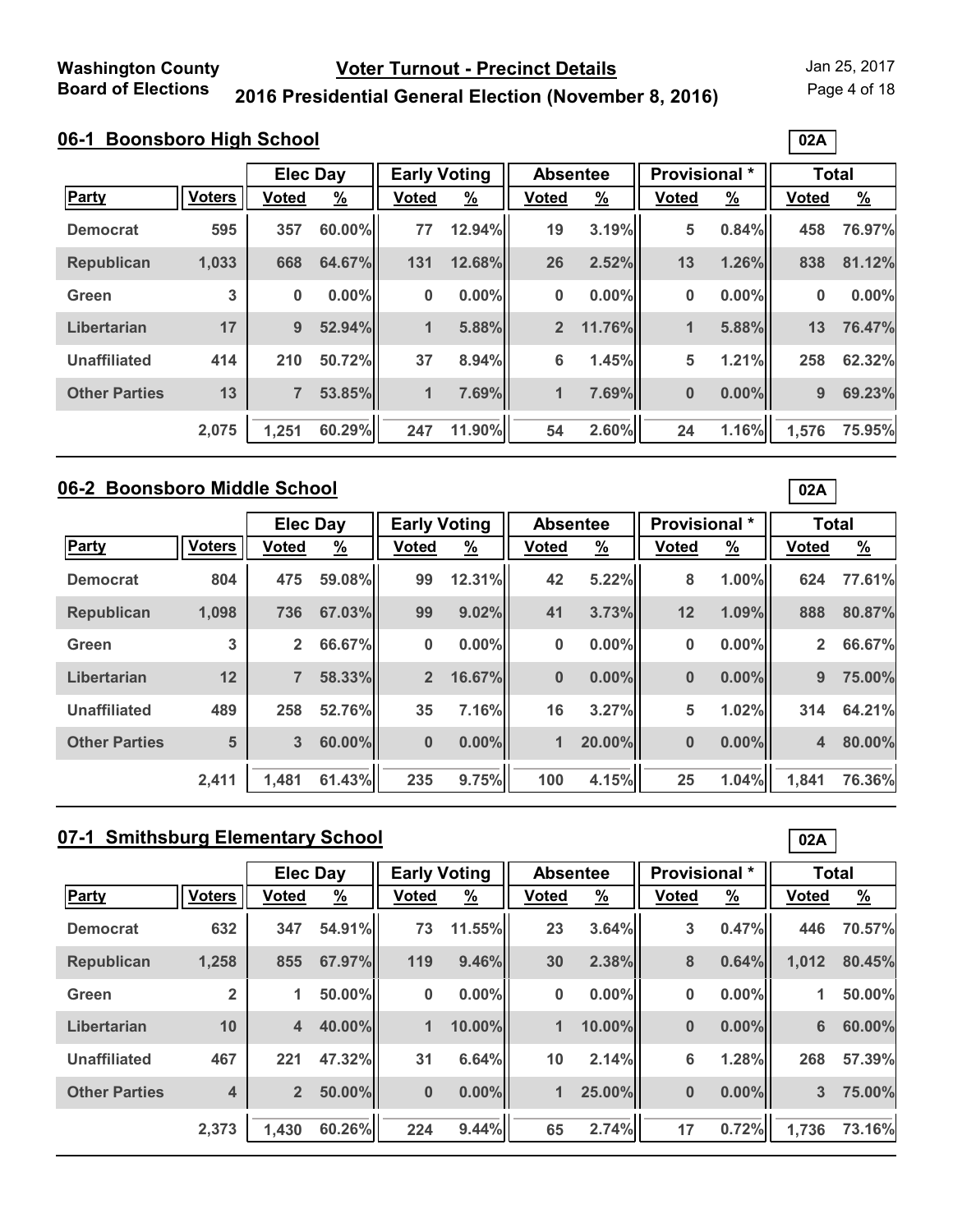Page 4 of 18

**02A**

# **2016 Presidential General Election (November 8, 2016)**

|                      |               |                | <b>Elec Day</b> |              | <b>Early Voting</b> |                | <b>Absentee</b> |              | Provisional * | <b>Total</b> |               |
|----------------------|---------------|----------------|-----------------|--------------|---------------------|----------------|-----------------|--------------|---------------|--------------|---------------|
| <b>Party</b>         | <b>Voters</b> | <b>Voted</b>   | $\frac{9}{6}$   | <b>Voted</b> | $\frac{9}{6}$       | <b>Voted</b>   | $\frac{9}{6}$   | <b>Voted</b> | $\frac{9}{6}$ | <b>Voted</b> | $\frac{9}{6}$ |
| <b>Democrat</b>      | 595           | 357            | 60.00%          | 77           | 12.94%              | 19             | 3.19%           | 5            | 0.84%         | 458          | 76.97%        |
| <b>Republican</b>    | 1,033         | 668            | 64.67%          | 131          | 12.68%              | 26             | 2.52%           | 13           | 1.26%         | 838          | 81.12%        |
| Green                | 3             | $\bf{0}$       | $0.00\%$        | $\bf{0}$     | 0.00%               | 0              | $0.00\%$        | 0            | $0.00\%$      | 0            | 0.00%         |
| Libertarian          | 17            | 9              | 52.94%          | 1            | 5.88%               | $\overline{2}$ | 11.76%          | $\mathbf{1}$ | 5.88%         | 13           | 76.47%        |
| <b>Unaffiliated</b>  | 414           | 210            | 50.72%          | 37           | 8.94%               | 6              | 1.45%           | 5            | 1.21%         | 258          | 62.32%        |
| <b>Other Parties</b> | 13            | $\overline{7}$ | 53.85%          | $\mathbf{1}$ | 7.69%               | 1              | 7.69%           | $\bf{0}$     | $0.00\%$      | 9            | 69.23%        |
|                      | 2,075         | 1,251          | 60.29%          | 247          | 11.90%              | 54             | 2.60%           | 24           | 1.16%         | 1,576        | 75.95%        |

### **06-2 Boonsboro Middle School**

|                      |               | <b>Elec Day</b> |               | <b>Early Voting</b> |               | <b>Absentee</b> |               | Provisional * |               | <b>Total</b>   |               |
|----------------------|---------------|-----------------|---------------|---------------------|---------------|-----------------|---------------|---------------|---------------|----------------|---------------|
| Party                | <b>Voters</b> | <b>Voted</b>    | $\frac{9}{6}$ | <b>Voted</b>        | $\frac{9}{6}$ | <b>Voted</b>    | $\frac{9}{6}$ | <b>Voted</b>  | $\frac{9}{6}$ | <b>Voted</b>   | $\frac{9}{6}$ |
| <b>Democrat</b>      | 804           | 475             | 59.08%        | 99                  | 12.31%        | 42              | 5.22%         | 8             | 1.00%         | 624            | 77.61%        |
| <b>Republican</b>    | 1,098         | 736             | 67.03%        | 99                  | 9.02%         | 41              | 3.73%         | 12            | 1.09%         | 888            | 80.87%        |
| Green                | 3             | $\mathbf{2}$    | 66.67%        | $\bf{0}$            | 0.00%         | 0               | $0.00\%$      | 0             | $0.00\%$      | $\overline{2}$ | 66.67%        |
| Libertarian          | 12            | $\overline{7}$  | 58.33%        | 2 <sup>2</sup>      | 16.67%        | $\bf{0}$        | $0.00\%$      | $\bf{0}$      | $0.00\%$      | 9              | 75.00%        |
| <b>Unaffiliated</b>  | 489           | 258             | 52.76%        | 35                  | 7.16%         | 16              | 3.27%         | 5             | 1.02%         | 314            | 64.21%        |
| <b>Other Parties</b> | 5             | 3               | 60.00%        | $\bf{0}$            | $0.00\%$      | 1               | 20.00%        | $\bf{0}$      | $0.00\%$      | 4              | 80.00%        |
|                      | 2,411         | 1.481           | 61.43%        | 235                 | 9.75%         | 100             | 4.15%         | 25            | 1.04%         | 1.841          | 76.36%        |

# **07-1 Smithsburg Elementary School**

|                      |                | <b>Elec Day</b>         |          | <b>Early Voting</b> |               | <b>Absentee</b>      |               | <b>Provisional</b> * |               | <b>Total</b> |               |  |
|----------------------|----------------|-------------------------|----------|---------------------|---------------|----------------------|---------------|----------------------|---------------|--------------|---------------|--|
| <b>Party</b>         | <b>Voters</b>  | <b>Voted</b>            | <u>%</u> | <b>Voted</b>        | $\frac{9}{6}$ | <b>Voted</b>         | $\frac{9}{6}$ | <b>Voted</b>         | $\frac{9}{6}$ | <b>Voted</b> | $\frac{9}{6}$ |  |
| <b>Democrat</b>      | 632            | 347                     | 54.91%   | 73                  | 11.55%        | 23                   | 3.64%         | 3                    | 0.47%         | 446          | 70.57%        |  |
| Republican           | 1,258          | 855                     | 67.97%   | 119                 | 9.46%         | 30                   | 2.38%         | 8                    | 0.64%         | 1,012        | 80.45%        |  |
| Green                | $\overline{2}$ | 1                       | 50.00%   | 0                   | $0.00\%$      | 0                    | $0.00\%$      | $\bf{0}$             | $0.00\%$      | 1            | 50.00%        |  |
| Libertarian          | 10             | $\overline{\mathbf{4}}$ | 40.00%   | 1                   | 10.00%        | $\blacktriangleleft$ | 10.00%        | $\bf{0}$             | $0.00\%$      | 6            | 60.00%        |  |
| <b>Unaffiliated</b>  | 467            | 221                     | 47.32%   | 31                  | 6.64%         | 10                   | 2.14%         | 6                    | 1.28%         | 268          | 57.39%        |  |
| <b>Other Parties</b> | 4              | $\overline{2}$          | 50.00%   | $\bf{0}$            | $0.00\%$      | 1                    | 25.00%        | $\bf{0}$             | $0.00\%$      | 3            | 75.00%        |  |
|                      | 2,373          | 1,430                   | 60.26%   | 224                 | 9.44%         | 65                   | 2.74%         | 17                   | 0.72%         | 1,736        | 73.16%        |  |

**02A**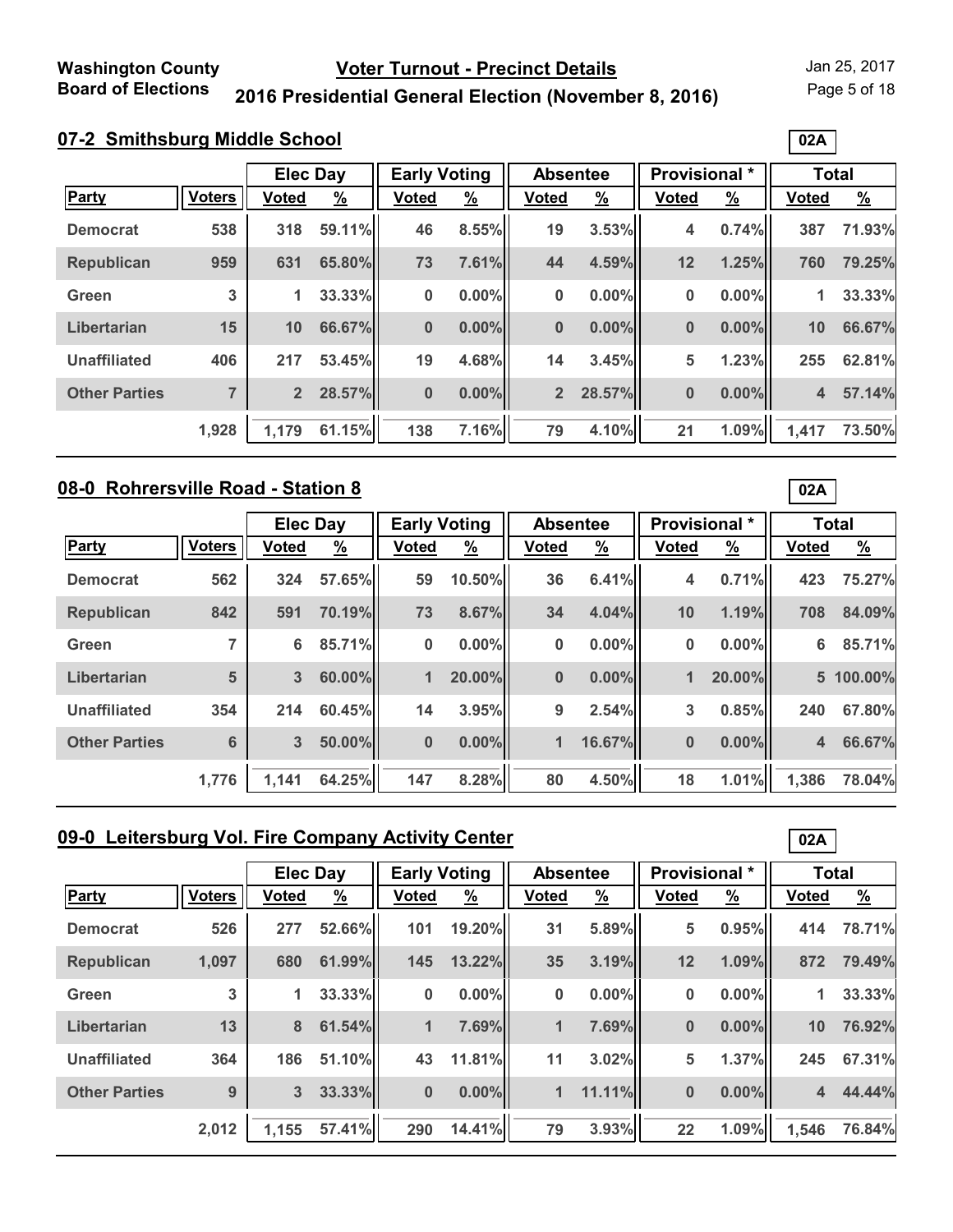Page 5 of 18

**02A**

# **2016 Presidential General Election (November 8, 2016)**

| 07-2 Smithsburg Middle School |
|-------------------------------|
|-------------------------------|

|                      |               | <b>Elec Day</b> |          | <b>Early Voting</b> |               | <b>Absentee</b> |               | Provisional * |               | <b>Total</b> |               |
|----------------------|---------------|-----------------|----------|---------------------|---------------|-----------------|---------------|---------------|---------------|--------------|---------------|
| <b>Party</b>         | <b>Voters</b> | <b>Voted</b>    | <u>%</u> | <b>Voted</b>        | $\frac{9}{6}$ | <b>Voted</b>    | $\frac{9}{6}$ | <b>Voted</b>  | $\frac{9}{6}$ | <b>Voted</b> | $\frac{9}{6}$ |
| <b>Democrat</b>      | 538           | 318             | 59.11%   | 46                  | 8.55%         | 19              | 3.53%         | 4             | 0.74%         | 387          | 71.93%        |
| <b>Republican</b>    | 959           | 631             | 65.80%   | 73                  | 7.61%         | 44              | 4.59%         | 12            | 1.25%         | 760          | 79.25%        |
| Green                | 3             | $\mathbf{1}$    | 33.33%   | $\bf{0}$            | 0.00%         | 0               | $0.00\%$      | 0             | 0.00%         | 1            | 33.33%        |
| Libertarian          | 15            | 10              | 66.67%   | $\bf{0}$            | 0.00%         | $\bf{0}$        | $0.00\%$      | 0             | 0.00%         | 10           | 66.67%        |
| <b>Unaffiliated</b>  | 406           | 217             | 53.45%   | 19                  | 4.68%         | 14              | 3.45%         | 5             | 1.23%         | 255          | 62.81%        |
| <b>Other Parties</b> | 7             | $\overline{2}$  | 28.57%   | $\bf{0}$            | $0.00\%$      | $\overline{2}$  | 28.57%        | 0             | 0.00%         | 4            | 57.14%        |
|                      | 1,928         | 1,179           | 61.15%   | 138                 | 7.16%         | 79              | 4.10%         | 21            | 1.09%         | 1,417        | 73.50%        |

#### **08-0 Rohrersville Road - Station 8**

| 08-0 Rohrersville Road - Station 8 |               |                 |          |                     |               |                 |               | 02A                  |               |              |               |
|------------------------------------|---------------|-----------------|----------|---------------------|---------------|-----------------|---------------|----------------------|---------------|--------------|---------------|
|                                    |               | <b>Elec Day</b> |          | <b>Early Voting</b> |               | <b>Absentee</b> |               | <b>Provisional</b> * |               | <b>Total</b> |               |
| <b>Party</b>                       | <b>Voters</b> | Voted           | <u>%</u> | <b>Voted</b>        | $\frac{9}{6}$ | <b>Voted</b>    | $\frac{9}{6}$ | <b>Voted</b>         | $\frac{9}{6}$ | <b>Voted</b> | $\frac{9}{6}$ |
| <b>Democrat</b>                    | 562           | 324             | 57.65%   | 59                  | 10.50%        | 36              | 6.41%         | 4                    | 0.71%         | 423          | 75.27%        |
| <b>Republican</b>                  | 842           | 591             | 70.19%   | 73                  | 8.67%         | 34              | 4.04%         | 10                   | 1.19%         | 708          | 84.09%        |
| Green                              | 7             | 6               | 85.71%   | $\bf{0}$            | 0.00%         | 0               | $0.00\%$      | 0                    | $0.00\%$      | 6            | 85.71%        |
| Libertarian                        | 5             | 3               | 60.00%   | 1                   | 20.00%        | $\bf{0}$        | $0.00\%$      | 1                    | 20.00%        |              | 5 100.00%     |
| <b>Unaffiliated</b>                | 354           | 214             | 60.45%   | 14                  | 3.95%         | 9               | 2.54%         | 3                    | 0.85%         | 240          | 67.80%        |
| <b>Other Parties</b>               | 6             | 3               | 50.00%   | $\bf{0}$            | $0.00\%$      | 1               | 16.67%        | $\bf{0}$             | $0.00\%$      | 4            | 66.67%        |
|                                    | 1,776         | 1,141           | 64.25%   | 147                 | 8.28%         | 80              | 4.50%         | 18                   | 1.01%         | 1,386        | 78.04%        |

# **09-0 Leitersburg Vol. Fire Company Activity Center**

|                      |               | <b>Elec Day</b> |               | <b>Early Voting</b> |               | <b>Absentee</b> |               | <b>Provisional</b> * |               | <b>Total</b> |               |
|----------------------|---------------|-----------------|---------------|---------------------|---------------|-----------------|---------------|----------------------|---------------|--------------|---------------|
| <b>Party</b>         | <b>Voters</b> | Voted           | $\frac{9}{6}$ | <b>Voted</b>        | $\frac{9}{6}$ | Voted           | $\frac{9}{6}$ | <b>Voted</b>         | $\frac{9}{6}$ | <b>Voted</b> | $\frac{9}{6}$ |
| <b>Democrat</b>      | 526           | 277             | 52.66%        | 101                 | 19.20%        | 31              | 5.89%         | 5                    | 0.95%         | 414          | 78.71%        |
| <b>Republican</b>    | 1,097         | 680             | 61.99%        | 145                 | 13.22%        | 35              | 3.19%         | 12                   | 1.09%         | 872          | 79.49%        |
| Green                | 3             | 1               | 33.33%        | $\bf{0}$            | $0.00\%$      | 0               | $0.00\%$      | 0                    | $0.00\%$      | 1            | 33.33%        |
| Libertarian          | 13            | 8               | 61.54%        | 1                   | 7.69%         | $\mathbf 1$     | 7.69%         | $\bf{0}$             | $0.00\%$      | 10           | 76.92%        |
| <b>Unaffiliated</b>  | 364           | 186             | 51.10%        | 43                  | 11.81%        | 11              | 3.02%         | 5                    | 1.37%         | 245          | 67.31%        |
| <b>Other Parties</b> | 9             | 3               | 33.33%        | $\bf{0}$            | $0.00\%$      | $\mathbf{1}$    | 11.11%        | $\bf{0}$             | $0.00\%$      | 4            | 44.44%        |
|                      | 2,012         | 1,155           | 57.41%        | 290                 | 14.41%        | 79              | 3.93%         | 22                   | 1.09%         | 1,546        | 76.84%        |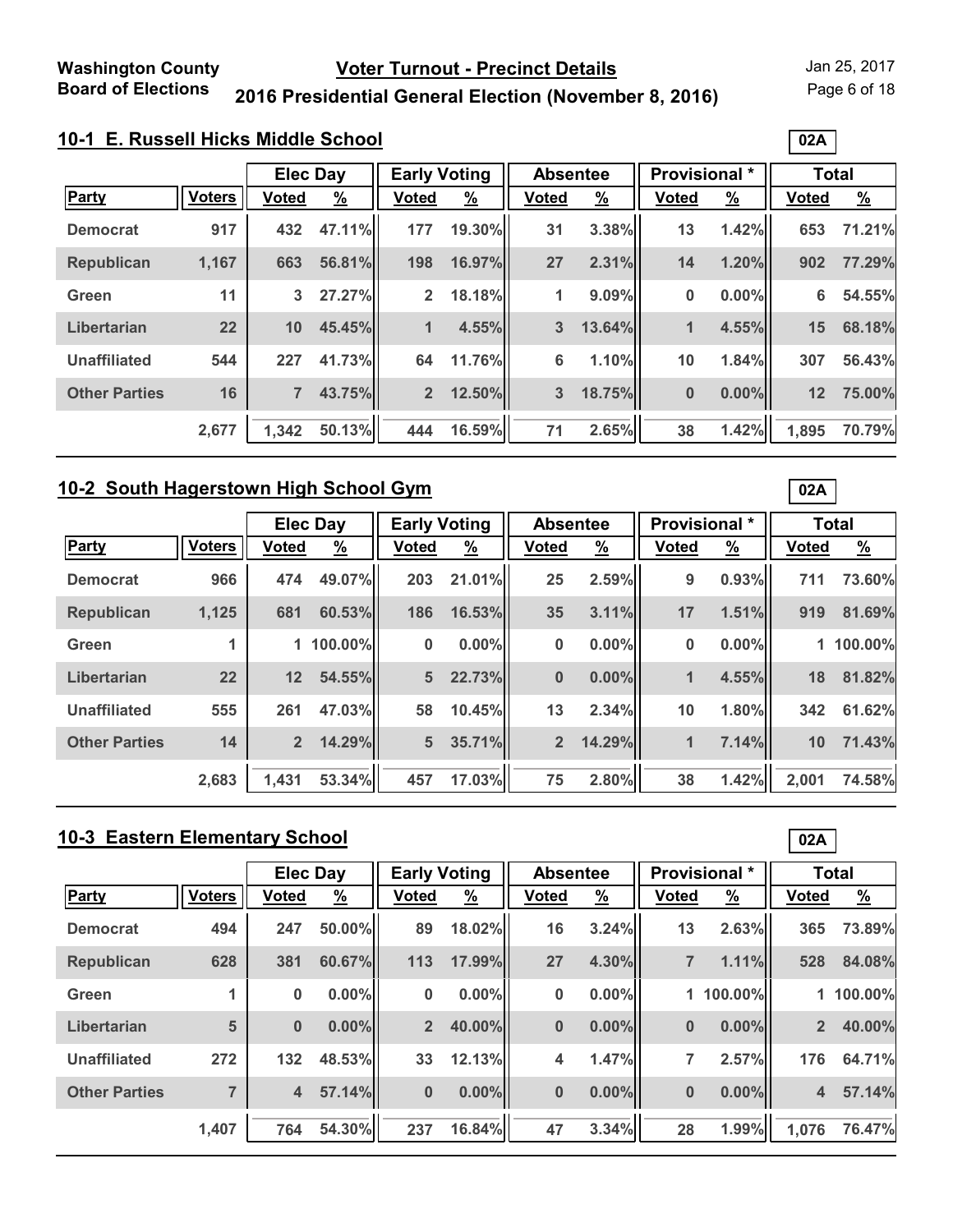Page 6 of 18

**02A**

# **2016 Presidential General Election (November 8, 2016)**

| 10-1 E. Russell Hicks Middle School |  |  |
|-------------------------------------|--|--|
|                                     |  |  |

|                      |               | <b>Early Voting</b><br><b>Elec Day</b> |               | <b>Absentee</b> |               | <b>Provisional</b> * |               | <b>Total</b> |          |              |               |
|----------------------|---------------|----------------------------------------|---------------|-----------------|---------------|----------------------|---------------|--------------|----------|--------------|---------------|
| <b>Party</b>         | <b>Voters</b> | <b>Voted</b>                           | $\frac{9}{6}$ | <b>Voted</b>    | $\frac{9}{6}$ | <b>Voted</b>         | $\frac{9}{6}$ | <b>Voted</b> | <u>%</u> | <b>Voted</b> | $\frac{9}{6}$ |
| <b>Democrat</b>      | 917           | 432                                    | 47.11%        | 177             | 19.30%        | 31                   | 3.38%         | 13           | 1.42%    | 653          | 71.21%        |
| <b>Republican</b>    | 1,167         | 663                                    | 56.81%        | 198             | 16.97%        | 27                   | 2.31%         | 14           | 1.20%    | 902          | 77.29%        |
| Green                | 11            | 3                                      | 27.27%        | $\overline{2}$  | 18.18%        | 1                    | 9.09%         | 0            | 0.00%    | 6            | 54.55%        |
| Libertarian          | 22            | 10                                     | 45.45%        | 1               | 4.55%         | 3                    | 13.64%        | 1            | 4.55%    | 15           | 68.18%        |
| <b>Unaffiliated</b>  | 544           | 227                                    | 41.73%        | 64              | 11.76%        | $6\phantom{1}6$      | 1.10%         | 10           | 1.84%    | 307          | 56.43%        |
| <b>Other Parties</b> | 16            | 7                                      | 43.75%        | $\overline{2}$  | 12.50%        | 3                    | 18.75%        | $\bf{0}$     | 0.00%    | 12           | 75.00%        |
|                      | 2,677         | 1,342                                  | 50.13%        | 444             | 16.59%        | 71                   | 2.65%         | 38           | 1.42%    | 1,895        | 70.79%        |

### **10-2 South Hagerstown High School Gym**

|                      |               | <b>Elec Day</b> |               | <b>Early Voting</b> |               | <b>Absentee</b> |               | Provisional *  |               | <b>Total</b> |               |
|----------------------|---------------|-----------------|---------------|---------------------|---------------|-----------------|---------------|----------------|---------------|--------------|---------------|
| <b>Party</b>         | <b>Voters</b> | <b>Voted</b>    | $\frac{9}{6}$ | <b>Voted</b>        | $\frac{9}{6}$ | <b>Voted</b>    | $\frac{9}{6}$ | <b>Voted</b>   | $\frac{9}{6}$ | <b>Voted</b> | $\frac{9}{6}$ |
| <b>Democrat</b>      | 966           | 474             | 49.07%        | 203                 | 21.01%        | 25              | 2.59%         | 9              | 0.93%         | 711          | 73.60%        |
| <b>Republican</b>    | 1,125         | 681             | 60.53%        | 186                 | 16.53%        | 35              | 3.11%         | 17             | 1.51%         | 919          | 81.69%        |
| Green                | 1             |                 | 1 100.00%     | $\bf{0}$            | $0.00\%$      | 0               | $0.00\%$      | 0              | $0.00\%$      |              | 1 100.00%     |
| Libertarian          | 22            | 12              | 54.55%        | 5 <sup>5</sup>      | 22.73%        | $\bf{0}$        | $0.00\%$      | $\mathbf{1}$   | 4.55%         | 18           | 81.82%        |
| <b>Unaffiliated</b>  | 555           | 261             | 47.03%        | 58                  | 10.45%        | 13              | 2.34%         | 10             | 1.80%         | 342          | 61.62%        |
| <b>Other Parties</b> | 14            | $\overline{2}$  | 14.29%        | 5 <sup>1</sup>      | 35.71%        | $\overline{2}$  | 14.29%        | $\blacksquare$ | 7.14%         | 10           | 71.43%        |
|                      | 2,683         | 1,431           | 53.34%        | 457                 | 17.03%        | 75              | 2.80%         | 38             | 1.42%         | 2,001        | 74.58%        |

# **10-3 Eastern Elementary School**

|                      |               | <b>Elec Day</b> |               | <b>Early Voting</b> |               | <b>Absentee</b> |               |                | <b>Provisional</b> * | <b>Total</b>   |               |  |
|----------------------|---------------|-----------------|---------------|---------------------|---------------|-----------------|---------------|----------------|----------------------|----------------|---------------|--|
| Party                | <b>Voters</b> | <b>Voted</b>    | $\frac{9}{6}$ | <b>Voted</b>        | $\frac{9}{6}$ | <b>Voted</b>    | $\frac{9}{6}$ | <b>Voted</b>   | $\frac{9}{6}$        | <b>Voted</b>   | $\frac{9}{6}$ |  |
| <b>Democrat</b>      | 494           | 247             | 50.00%        | 89                  | 18.02%        | 16              | 3.24%         | 13             | 2.63%                | 365            | 73.89%        |  |
| <b>Republican</b>    | 628           | 381             | 60.67%        | 113                 | 17.99%        | 27              | 4.30%         | $\overline{7}$ | 1.11%                | 528            | 84.08%        |  |
| Green                |               | 0               | $0.00\%$      | 0                   | $0.00\%$      | 0               | $0.00\%$      |                | 1 100.00%            |                | 1 100.00%     |  |
| Libertarian          | 5             | $\bf{0}$        | $0.00\%$      | 2 <sup>2</sup>      | 40.00%        | $\bf{0}$        | $0.00\%$      | $\bf{0}$       | $0.00\%$             | $\overline{2}$ | 40.00%        |  |
| <b>Unaffiliated</b>  | 272           | 132             | 48.53%        | 33                  | 12.13%        | 4               | 1.47%         | 7              | 2.57%                | 176            | 64.71%        |  |
| <b>Other Parties</b> |               | 4               | 57.14%        | $\bf{0}$            | $0.00\%$      | $\bf{0}$        | $0.00\%$      | $\bf{0}$       | $0.00\%$             | $\overline{4}$ | 57.14%        |  |
|                      | 1,407         | 764             | 54.30%        | 237                 | 16.84%        | 47              | 3.34%         | 28             | 1.99%                | 1,076          | 76.47%        |  |

**02A**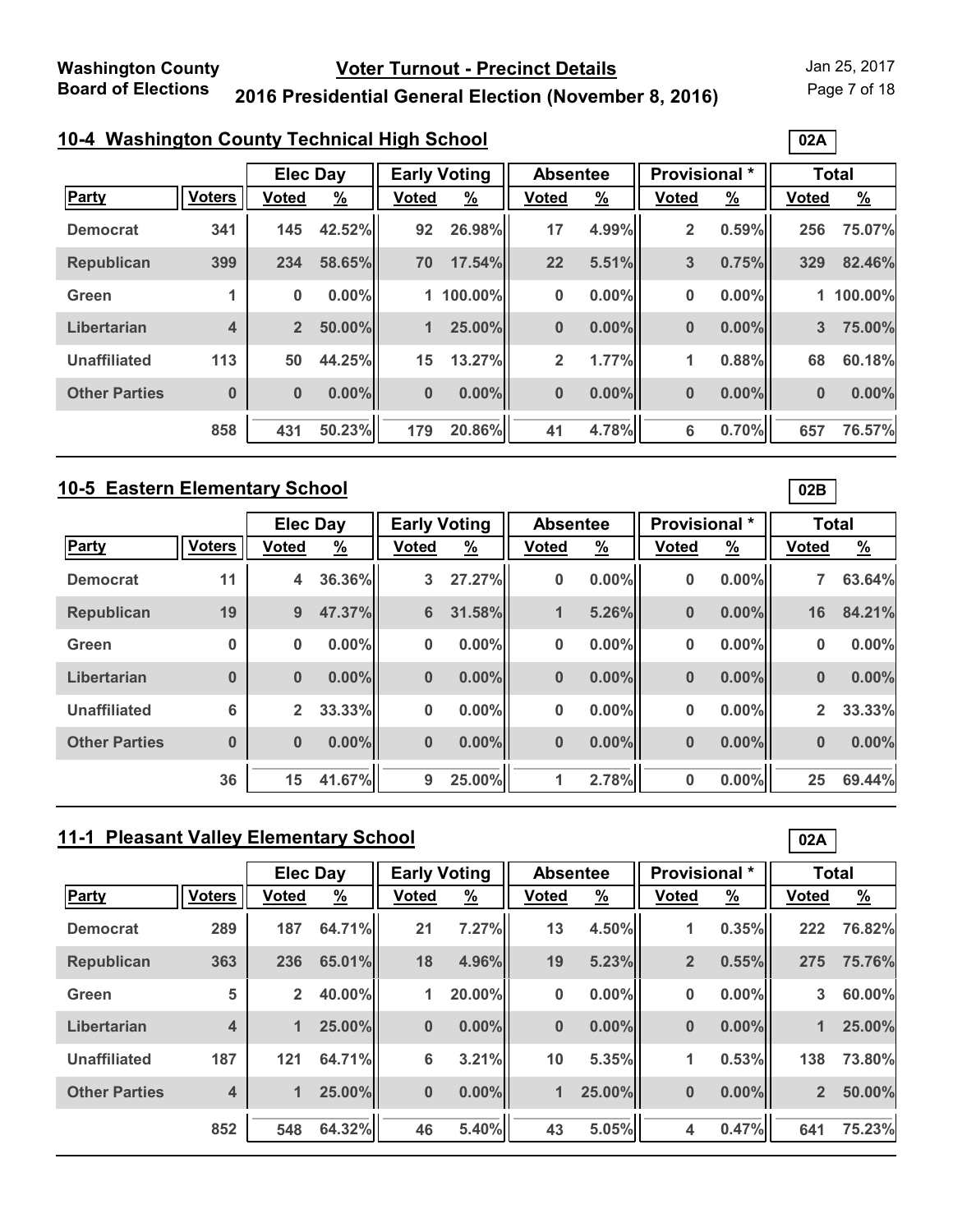Page 7 of 18

**02A**

# **2016 Presidential General Election (November 8, 2016)**

### **10-4 Washington County Technical High School**

|                      |                         |                | <b>Elec Day</b> |              | <b>Early Voting</b> |              | <b>Absentee</b> |              | Provisional * | <b>Total</b>   |               |
|----------------------|-------------------------|----------------|-----------------|--------------|---------------------|--------------|-----------------|--------------|---------------|----------------|---------------|
| <b>Party</b>         | <b>Voters</b>           | <b>Voted</b>   | $\frac{9}{6}$   | <b>Voted</b> | $\frac{9}{6}$       | <b>Voted</b> | $\frac{9}{6}$   | <b>Voted</b> | $\frac{9}{6}$ | <b>Voted</b>   | $\frac{9}{6}$ |
| <b>Democrat</b>      | 341                     | 145            | 42.52%          | 92           | 26.98%              | 17           | 4.99%           | 2            | 0.59%         | 256            | 75.07%        |
| <b>Republican</b>    | 399                     | 234            | 58.65%          | 70           | 17.54%              | 22           | 5.51%           | 3            | 0.75%         | 329            | 82.46%        |
| Green                |                         | $\bf{0}$       | $0.00\%$        |              | 1 100.00%           | $\bf{0}$     | $0.00\%$        | 0            | 0.00%         |                | 1 100.00%     |
| Libertarian          | $\overline{\mathbf{4}}$ | $\overline{2}$ | 50.00%          | 1            | 25.00%              | $\bf{0}$     | $0.00\%$        | 0            | 0.00%         | $3\phantom{a}$ | 75.00%        |
| <b>Unaffiliated</b>  | 113                     | 50             | 44.25%          | 15           | 13.27%              | $\mathbf{2}$ | 1.77%           | 1            | 0.88%         | 68             | 60.18%        |
| <b>Other Parties</b> | $\bf{0}$                | $\bf{0}$       | $0.00\%$        | $\bf{0}$     | $0.00\%$            | $\bf{0}$     | $0.00\%$        | 0            | 0.00%         | $\bf{0}$       | 0.00%         |
|                      | 858                     | 431            | 50.23%          | 179          | 20.86%              | 41           | 4.78%           | 6            | 0.70%         | 657            | 76.57%        |

#### **10-5 Eastern Elementary School**

|                      |               |                | <b>Elec Day</b> |                | <b>Early Voting</b> |              | <b>Absentee</b> | Provisional * |               | <b>Total</b> |               |
|----------------------|---------------|----------------|-----------------|----------------|---------------------|--------------|-----------------|---------------|---------------|--------------|---------------|
| Party                | <b>Voters</b> | <b>Voted</b>   | <u>%</u>        | <b>Voted</b>   | $\frac{9}{6}$       | <b>Voted</b> | $\frac{9}{6}$   | <b>Voted</b>  | $\frac{9}{6}$ | <b>Voted</b> | $\frac{9}{6}$ |
| <b>Democrat</b>      | 11            | 4              | 36.36%          | 3              | 27.27%              | 0            | $0.00\%$        | 0             | $0.00\%$      |              | 63.64%        |
| <b>Republican</b>    | 19            | 9              | 47.37%          | $6\phantom{1}$ | 31.58%              | 1            | 5.26%           | $\bf{0}$      | $0.00\%$      | 16           | 84.21%        |
| Green                | $\bf{0}$      | $\bf{0}$       | $0.00\%$        | $\bf{0}$       | 0.00%               | 0            | $0.00\%$        | 0             | $0.00\%$      | 0            | 0.00%         |
| Libertarian          | $\bf{0}$      | $\bf{0}$       | $0.00\%$        | $\bf{0}$       | $0.00\%$            | $\bf{0}$     | $0.00\%$        | $\bf{0}$      | $0.00\%$      | $\bf{0}$     | 0.00%         |
| <b>Unaffiliated</b>  | 6             | $\overline{2}$ | 33.33%          | $\bf{0}$       | 0.00%               | 0            | $0.00\%$        | 0             | $0.00\%$      | $\mathbf{2}$ | 33.33%        |
| <b>Other Parties</b> | $\bf{0}$      | $\bf{0}$       | $0.00\%$        | $\bf{0}$       | $0.00\%$            | $\bf{0}$     | $0.00\%$        | $\bf{0}$      | $0.00\%$      | $\bf{0}$     | 0.00%         |
|                      | 36            | 15             | 41.67%          | 9              | 25.00%              | 1            | 2.78%           | 0             | 0.00%         | 25           | 69.44%        |

# **11-1 Pleasant Valley Elementary School**

|                      |                         | <b>Elec Day</b> |               | <b>Early Voting</b> |               | <b>Absentee</b> |               | <b>Provisional</b> * |               | <b>Total</b>   |               |
|----------------------|-------------------------|-----------------|---------------|---------------------|---------------|-----------------|---------------|----------------------|---------------|----------------|---------------|
| Party                | <b>Voters</b>           | <b>Voted</b>    | $\frac{9}{6}$ | Voted               | $\frac{9}{6}$ | <b>Voted</b>    | $\frac{9}{6}$ | <b>Voted</b>         | $\frac{9}{6}$ | <b>Voted</b>   | $\frac{9}{6}$ |
| <b>Democrat</b>      | 289                     | 187             | 64.71%        | 21                  | 7.27%         | 13              | 4.50%         | 1                    | 0.35%         | 222            | 76.82%        |
| <b>Republican</b>    | 363                     | 236             | 65.01%        | 18                  | 4.96%         | 19              | 5.23%         | $\overline{2}$       | 0.55%         | 275            | 75.76%        |
| Green                | 5                       | $\overline{2}$  | 40.00%        | 1                   | 20.00%        | 0               | $0.00\%$      | 0                    | $0.00\%$      | 3              | 60.00%        |
| Libertarian          | $\overline{\mathbf{4}}$ | 1               | 25.00%        | $\mathbf{0}$        | 0.00%         | $\bf{0}$        | $0.00\%$      | $\bf{0}$             | $0.00\%$      | 1              | 25.00%        |
| <b>Unaffiliated</b>  | 187                     | 121             | 64.71%        | 6                   | 3.21%         | 10              | 5.35%         | 1                    | 0.53%         | 138            | 73.80%        |
| <b>Other Parties</b> | $\overline{\mathbf{4}}$ | 1               | 25.00%        | $\bf{0}$            | $0.00\%$      | $\mathbf 1$     | 25.00%        | $\bf{0}$             | $0.00\%$      | $\overline{2}$ | 50.00%        |
|                      | 852                     | 548             | 64.32%        | 46                  | 5.40%         | 43              | 5.05%         | 4                    | 0.47%         | 641            | 75.23%        |

**02B**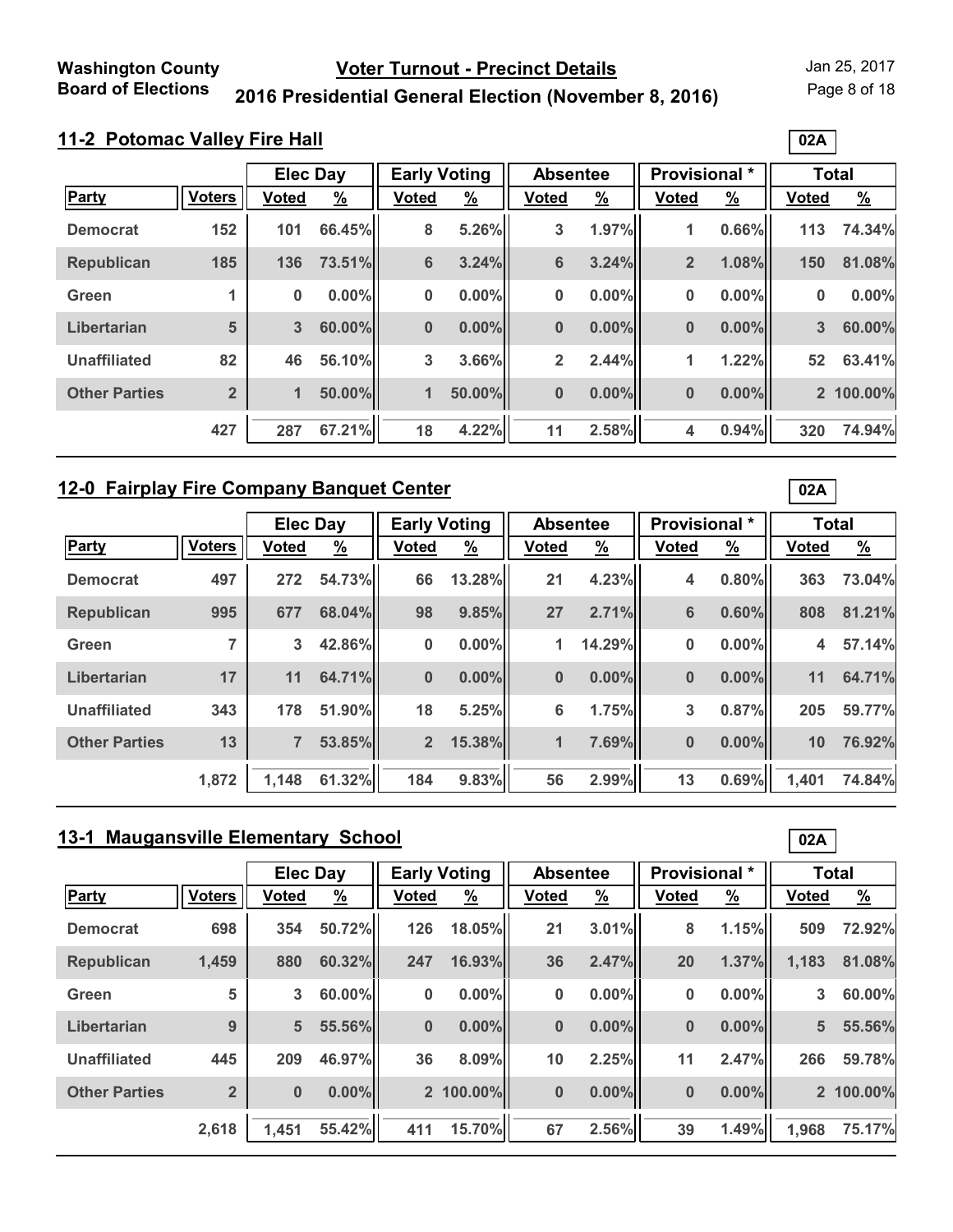Page 8 of 18

**02A**

# **2016 Presidential General Election (November 8, 2016)**

|                      |                | <b>Elec Day</b> |               | <b>Early Voting</b> |               | <b>Absentee</b> |               | <b>Provisional *</b> |               |              | <b>Total</b>  |
|----------------------|----------------|-----------------|---------------|---------------------|---------------|-----------------|---------------|----------------------|---------------|--------------|---------------|
| <b>Party</b>         | <b>Voters</b>  | <b>Voted</b>    | $\frac{9}{6}$ | <b>Voted</b>        | $\frac{9}{6}$ | <b>Voted</b>    | $\frac{9}{6}$ | <b>Voted</b>         | $\frac{9}{6}$ | <b>Voted</b> | $\frac{9}{6}$ |
| <b>Democrat</b>      | 152            | 101             | 66.45%        | 8                   | 5.26%         | 3               | 1.97%         | 1                    | 0.66%         | 113          | 74.34%        |
| <b>Republican</b>    | 185            | 136             | 73.51%        | $6\phantom{1}$      | 3.24%         | $6\phantom{1}6$ | 3.24%         | $\overline{2}$       | 1.08%         | 150          | 81.08%        |
| Green                |                | 0               | $0.00\%$      | $\bf{0}$            | 0.00%         | $\bf{0}$        | $0.00\%$      | 0                    | 0.00%         | 0            | 0.00%         |
| Libertarian          | 5              | 3               | 60.00%        | $\bf{0}$            | $0.00\%$      | $\bf{0}$        | $0.00\%$      | $\bf{0}$             | 0.00%         | 3            | 60.00%        |
| <b>Unaffiliated</b>  | 82             | 46              | 56.10%        | 3                   | 3.66%         | $\overline{2}$  | 2.44%         | 1                    | 1.22%         | 52           | 63.41%        |
| <b>Other Parties</b> | $\overline{2}$ | 1               | 50.00%        | 1                   | 50.00%        | $\bf{0}$        | $0.00\%$      | 0                    | 0.00%         |              | 2 100.00%     |
|                      | 427            | 287             | 67.21%        | 18                  | 4.22%         | 11              | 2.58%         | 4                    | 0.94%         | 320          | 74.94%        |

### **12-0 Fairplay Fire Company Banquet Center**

|                      |               |                | <b>Elec Day</b> |                | <b>Early Voting</b> | <b>Absentee</b> |               | Provisional * |               | <b>Total</b> |               |
|----------------------|---------------|----------------|-----------------|----------------|---------------------|-----------------|---------------|---------------|---------------|--------------|---------------|
| Party                | <b>Voters</b> | <b>Voted</b>   | $\frac{9}{6}$   | <b>Voted</b>   | $\frac{9}{6}$       | <b>Voted</b>    | $\frac{9}{6}$ | <b>Voted</b>  | $\frac{9}{6}$ | <b>Voted</b> | $\frac{9}{6}$ |
| <b>Democrat</b>      | 497           | 272            | 54.73%          | 66             | 13.28%              | 21              | 4.23%         | 4             | $0.80\%$      | 363          | 73.04%        |
| <b>Republican</b>    | 995           | 677            | 68.04%          | 98             | 9.85%               | 27              | 2.71%         | 6             | 0.60%         | 808          | 81.21%        |
| Green                | ⇁             | 3              | 42.86%          | 0              | $0.00\%$            | 1               | 14.29%        | 0             | $0.00\%$      | 4            | 57.14%        |
| Libertarian          | 17            | 11             | 64.71%          | $\bf{0}$       | 0.00%               | $\bf{0}$        | $0.00\%$      | $\bf{0}$      | $0.00\%$      | 11           | 64.71%        |
| <b>Unaffiliated</b>  | 343           | 178            | 51.90%          | 18             | 5.25%               | 6               | 1.75%         | 3             | $0.87\%$      | 205          | 59.77%        |
| <b>Other Parties</b> | 13            | $\overline{7}$ | 53.85%          | 2 <sup>2</sup> | 15.38%              | $\mathbf{1}$    | 7.69%         | $\bf{0}$      | $0.00\%$      | 10           | 76.92%        |
|                      | 1,872         | 1.148          | 61.32%          | 184            | 9.83%               | 56              | 2.99%         | 13            | 0.69%         | 1.401        | 74.84%        |

# **13-1 Maugansville Elementary School**

|                      |                | <b>Elec Day</b> |               |              | <b>Early Voting</b> | <b>Absentee</b> |               | <b>Provisional</b> * |               |              | <b>Total</b>  |
|----------------------|----------------|-----------------|---------------|--------------|---------------------|-----------------|---------------|----------------------|---------------|--------------|---------------|
| Party                | <b>Voters</b>  | <b>Voted</b>    | $\frac{9}{6}$ | <b>Voted</b> | $\frac{9}{6}$       | Voted           | $\frac{9}{6}$ | <b>Voted</b>         | $\frac{9}{6}$ | <b>Voted</b> | $\frac{9}{6}$ |
| <b>Democrat</b>      | 698            | 354             | 50.72%        | 126          | 18.05%              | 21              | 3.01%         | 8                    | 1.15%         | 509          | 72.92%        |
| <b>Republican</b>    | 1,459          | 880             | 60.32%        | 247          | 16.93%              | 36              | 2.47%         | 20                   | 1.37%         | 1,183        | 81.08%        |
| Green                | 5              | 3               | $60.00\%$     | 0            | 0.00%               | $\bf{0}$        | $0.00\%$      | 0                    | $0.00\%$      | 3            | 60.00%        |
| Libertarian          | 9              | 5               | 55.56%        | $\bf{0}$     | 0.00%               | $\bf{0}$        | $0.00\%$      | $\bf{0}$             | $0.00\%$      | 5            | 55.56%        |
| <b>Unaffiliated</b>  | 445            | 209             | 46.97%        | 36           | 8.09%               | 10              | 2.25%         | 11                   | 2.47%         | 266          | 59.78%        |
| <b>Other Parties</b> | $\overline{2}$ | $\bf{0}$        | $0.00\%$      |              | 2 100.00%           | $\bf{0}$        | $0.00\%$      | $\bf{0}$             | $0.00\%$      |              | 2 100.00%     |
|                      | 2,618          | 1,451           | 55.42%        | 411          | 15.70%              | 67              | 2.56%         | 39                   | 1.49%         | 1,968        | 75.17%        |

**02A**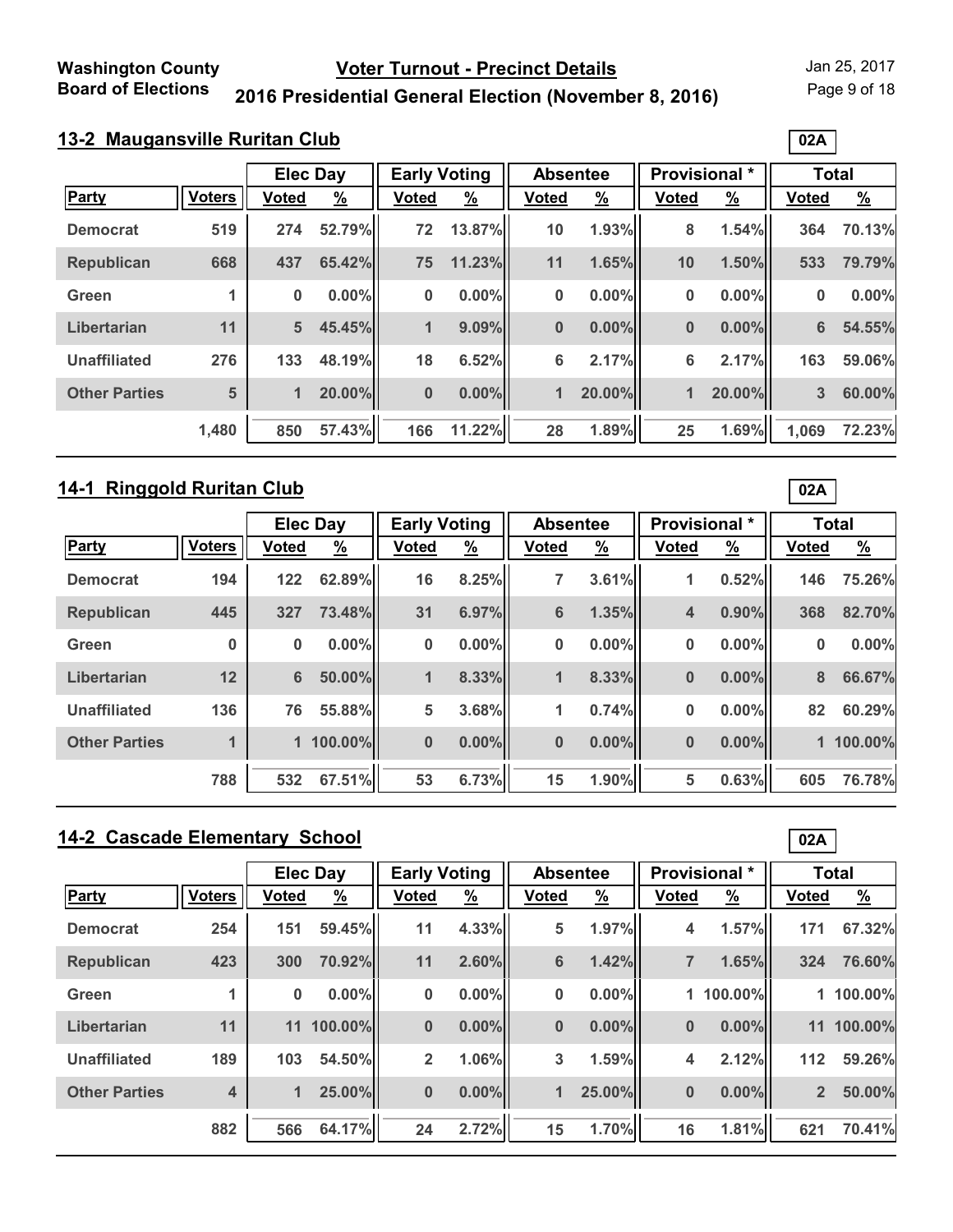Page 9 of 18

**02A**

# **2016 Presidential General Election (November 8, 2016)**

#### **13-2 Maugansville Ruritan Club**

|                      |               | <b>Elec Day</b> |               | <b>Early Voting</b> |               | <b>Absentee</b> |               | Provisional * |               | <b>Total</b> |               |
|----------------------|---------------|-----------------|---------------|---------------------|---------------|-----------------|---------------|---------------|---------------|--------------|---------------|
| <b>Party</b>         | <b>Voters</b> | <b>Voted</b>    | $\frac{9}{6}$ | <b>Voted</b>        | $\frac{9}{6}$ | <b>Voted</b>    | $\frac{9}{6}$ | <b>Voted</b>  | $\frac{9}{6}$ | <b>Voted</b> | $\frac{9}{6}$ |
| <b>Democrat</b>      | 519           | 274             | 52.79%        | 72                  | 13.87%        | 10              | 1.93%         | 8             | 1.54%         | 364          | 70.13%        |
| <b>Republican</b>    | 668           | 437             | 65.42%        | 75                  | 11.23%        | 11              | 1.65%         | 10            | 1.50%         | 533          | 79.79%        |
| Green                |               | 0               | $0.00\%$      | $\bf{0}$            | $0.00\%$      | 0               | $0.00\%$      | 0             | $0.00\%$      | 0            | 0.00%         |
| Libertarian          | 11            | 5               | 45.45%        | 1                   | 9.09%         | $\bf{0}$        | $0.00\%$      | 0             | $0.00\%$      | 6            | 54.55%        |
| <b>Unaffiliated</b>  | 276           | 133             | 48.19%        | 18                  | 6.52%         | $6\phantom{1}6$ | 2.17%         | 6             | 2.17%         | 163          | 59.06%        |
| <b>Other Parties</b> | 5             | 1               | 20.00%        | $\bf{0}$            | $0.00\%$      | 1               | 20.00%        | 1             | 20.00%        | 3            | 60.00%        |
|                      | 1,480         | 850             | 57.43%        | 166                 | 11.22%        | 28              | 1.89%         | 25            | 1.69%         | 1,069        | 72.23%        |

# **14-1 Ringgold Ruritan Club**

|                      |               |                | <b>Elec Day</b> | <b>Early Voting</b> |               | <b>Absentee</b> |               | Provisional * |               |              | <b>Total</b>  |
|----------------------|---------------|----------------|-----------------|---------------------|---------------|-----------------|---------------|---------------|---------------|--------------|---------------|
| <b>Party</b>         | <b>Voters</b> | <b>Voted</b>   | $\frac{9}{6}$   | <b>Voted</b>        | $\frac{9}{6}$ | <b>Voted</b>    | $\frac{9}{6}$ | <b>Voted</b>  | $\frac{9}{6}$ | <b>Voted</b> | $\frac{9}{6}$ |
| <b>Democrat</b>      | 194           | $122$          | 62.89%          | 16                  | 8.25%         | 7               | 3.61%         | 1             | 0.52%         | 146          | 75.26%        |
| <b>Republican</b>    | 445           | 327            | 73.48%          | 31                  | 6.97%         | $6\phantom{1}$  | 1.35%         | 4             | 0.90%         | 368          | 82.70%        |
| Green                | 0             | $\bf{0}$       | $0.00\%$        | $\bf{0}$            | $0.00\%$      | 0               | $0.00\%$      | 0             | 0.00%         | 0            | $0.00\%$      |
| Libertarian          | 12            | $6\phantom{a}$ | 50.00%          | 1                   | 8.33%         | 1               | 8.33%         | 0             | $0.00\%$      | 8            | 66.67%        |
| <b>Unaffiliated</b>  | 136           | 76             | 55.88%          | 5                   | 3.68%         | 1               | 0.74%         | 0             | $0.00\%$      | 82           | 60.29%        |
| <b>Other Parties</b> |               |                | 1 100.00%       | $\bf{0}$            | $0.00\%$      | $\bf{0}$        | $0.00\%$      | 0             | $0.00\%$      |              | 1 100.00%     |
|                      | 788           | 532            | 67.51%          | 53                  | 6.73%         | 15              | 1.90%         | 5             | 0.63%         | 605          | 76.78%        |

# **14-2 Cascade Elementary School**

|                      |                         | <b>Elec Day</b> |               | <b>Early Voting</b> |               | <b>Absentee</b>      |               |                | <b>Provisional</b> * | <b>Total</b>   |               |
|----------------------|-------------------------|-----------------|---------------|---------------------|---------------|----------------------|---------------|----------------|----------------------|----------------|---------------|
| Party                | <b>Voters</b>           | <b>Voted</b>    | $\frac{9}{6}$ | <b>Voted</b>        | $\frac{9}{6}$ | <b>Voted</b>         | $\frac{9}{6}$ | <b>Voted</b>   | $\frac{9}{6}$        | <b>Voted</b>   | $\frac{9}{6}$ |
| <b>Democrat</b>      | 254                     | 151             | 59.45%        | 11                  | 4.33%         | 5                    | 1.97%         | 4              | 1.57%                | 171            | 67.32%        |
| <b>Republican</b>    | 423                     | 300             | 70.92%        | 11                  | 2.60%         | 6                    | 1.42%         | $\overline{7}$ | 1.65%                | 324            | 76.60%        |
| Green                |                         | 0               | $0.00\%$      | 0                   | 0.00%         | $\bf{0}$             | $0.00\%$      |                | 1 100.00%            |                | 1 100.00%     |
| Libertarian          | 11                      | 11              | 100.00%       | $\bf{0}$            | 0.00%         | $\bf{0}$             | $0.00\%$      | $\bf{0}$       | $0.00\%$             | 11             | 100.00%       |
| <b>Unaffiliated</b>  | 189                     | 103             | 54.50%        | $\overline{2}$      | 1.06%         | 3                    | 1.59%         | 4              | 2.12%                | 112            | 59.26%        |
| <b>Other Parties</b> | $\overline{\mathbf{4}}$ | 1               | 25.00%        | $\bf{0}$            | $0.00\%$      | $\blacktriangleleft$ | 25.00%        | $\bf{0}$       | $0.00\%$             | $\overline{2}$ | 50.00%        |
|                      | 882                     | 566             | 64.17%        | 24                  | 2.72%         | 15                   | 1.70%         | 16             | 1.81%                | 621            | 70.41%        |

**02A**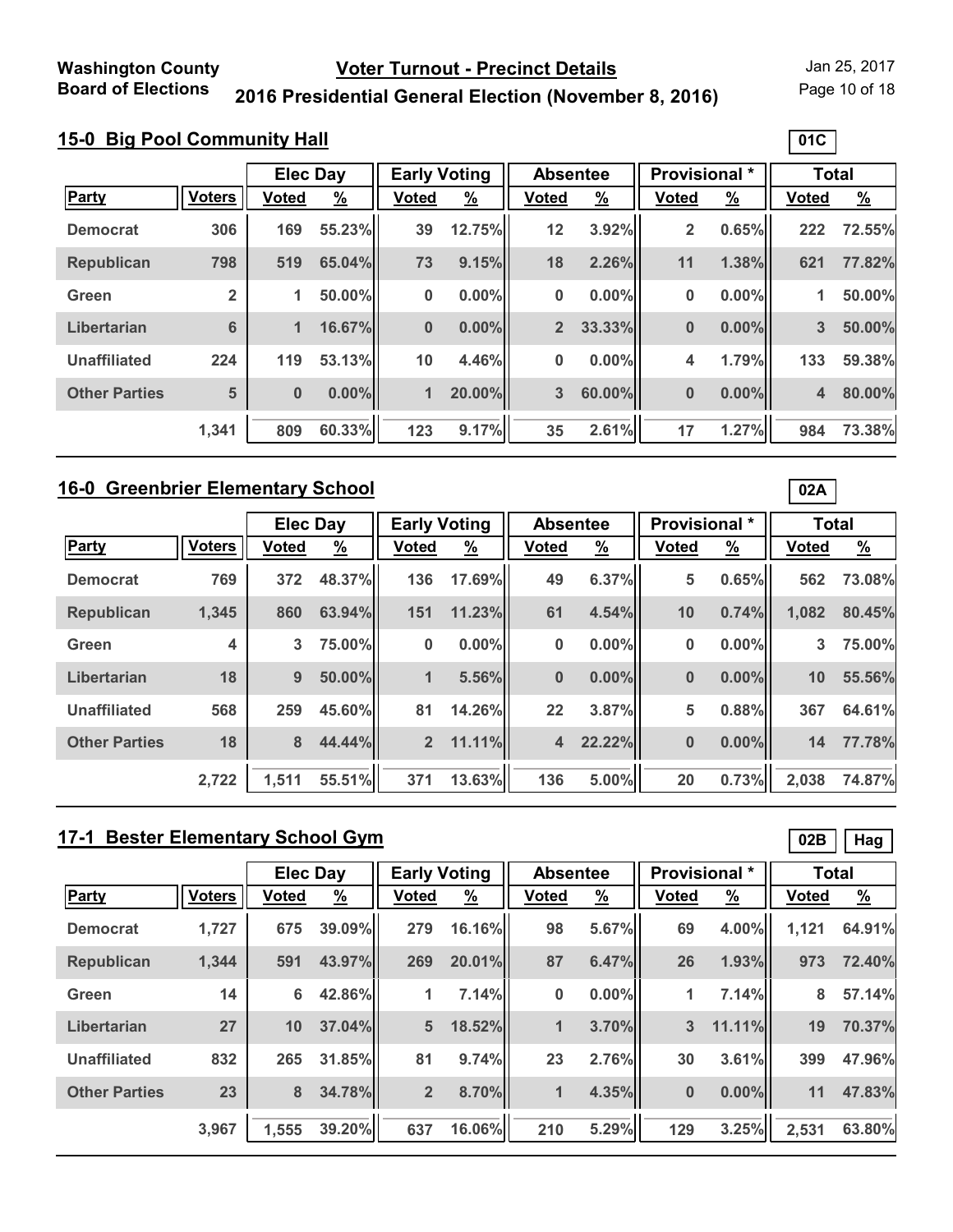Page 10 of 18

**01C**

# **2016 Presidential General Election (November 8, 2016)**

### **15-0 Big Pool Community Hall**

|                      |                |              | <b>Early Voting</b><br><b>Elec Day</b> |              |               | <b>Absentee</b> |               | <b>Provisional *</b> |               | <b>Total</b>   |          |
|----------------------|----------------|--------------|----------------------------------------|--------------|---------------|-----------------|---------------|----------------------|---------------|----------------|----------|
|                      |                |              |                                        |              |               |                 |               |                      |               |                |          |
| <b>Party</b>         | <b>Voters</b>  | <b>Voted</b> | <u>%</u>                               | <b>Voted</b> | $\frac{9}{6}$ | <b>Voted</b>    | $\frac{9}{6}$ | <b>Voted</b>         | $\frac{9}{6}$ | <b>Voted</b>   | <u>%</u> |
| <b>Democrat</b>      | 306            | 169          | 55.23%                                 | 39           | 12.75%        | 12              | 3.92%         | 2                    | 0.65%         | 222            | 72.55%   |
| <b>Republican</b>    | 798            | 519          | 65.04%                                 | 73           | 9.15%         | 18              | 2.26%         | 11                   | 1.38%         | 621            | 77.82%   |
| Green                | $\overline{2}$ | 1            | 50.00%                                 | 0            | $0.00\%$      | 0               | $0.00\%$      | 0                    | 0.00%         | 1              | 50.00%   |
| Libertarian          | 6              | 1            | 16.67%                                 | $\bf{0}$     | $0.00\%$      | $\overline{2}$  | 33.33%        | 0                    | 0.00%         | $3\phantom{a}$ | 50.00%   |
| <b>Unaffiliated</b>  | 224            | 119          | 53.13%                                 | 10           | 4.46%         | $\bf{0}$        | $0.00\%$      | 4                    | 1.79%         | 133            | 59.38%   |
| <b>Other Parties</b> | 5              | $\bf{0}$     | $0.00\%$                               | 1            | 20.00%        | 3               | 60.00%        | 0                    | 0.00%         | 4              | 80.00%   |
|                      | 1,341          | 809          | 60.33%                                 | 123          | 9.17%         | 35              | 2.61%         | 17                   | 1.27%         | 984            | 73.38%   |

#### **16-0 Greenbrier Elementary School**

|                      |                         | <b>Elec Day</b> |               | <b>Early Voting</b> |               | <b>Absentee</b> |          | <b>Provisional *</b> |               | <b>Total</b> |               |
|----------------------|-------------------------|-----------------|---------------|---------------------|---------------|-----------------|----------|----------------------|---------------|--------------|---------------|
| Party                | <b>Voters</b>           | <b>Voted</b>    | $\frac{9}{6}$ | <b>Voted</b>        | $\frac{9}{6}$ | <b>Voted</b>    | <u>%</u> | <b>Voted</b>         | $\frac{9}{6}$ | <b>Voted</b> | $\frac{9}{6}$ |
| <b>Democrat</b>      | 769                     | 372             | 48.37%        | 136                 | 17.69%        | 49              | 6.37%    | 5                    | 0.65%         | 562          | 73.08%        |
| Republican           | 1,345                   | 860             | 63.94%        | 151                 | 11.23%        | 61              | 4.54%    | 10                   | 0.74%         | 1,082        | 80.45%        |
| Green                | $\overline{\mathbf{4}}$ | 3               | 75.00%        | $\bf{0}$            | $0.00\%$      | 0               | $0.00\%$ | 0                    | $0.00\%$      | 3            | 75.00%        |
| Libertarian          | 18                      | 9               | 50.00%        | $\mathbf{1}$        | 5.56%         | $\bf{0}$        | $0.00\%$ | $\bf{0}$             | $0.00\%$      | 10           | 55.56%        |
| <b>Unaffiliated</b>  | 568                     | 259             | 45.60%        | 81                  | 14.26%        | 22              | 3.87%    | 5                    | 0.88%         | 367          | 64.61%        |
| <b>Other Parties</b> | 18                      | 8               | 44.44%        | 2 <sup>2</sup>      | 11.11%        | 4               | 22.22%   | $\bf{0}$             | 0.00%         | 14           | 77.78%        |
|                      | 2,722                   | 1.511           | 55.51%        | 371                 | 13.63%        | 136             | 5.00%    | 20                   | 0.73%         | 2,038        | 74.87%        |

# **17-1 Bester Elementary School Gym**

|                      |               |              | <b>Elec Day</b> |                | <b>Early Voting</b> |                | <b>Absentee</b> | <b>Provisional</b> * |               | <b>Total</b> |               |
|----------------------|---------------|--------------|-----------------|----------------|---------------------|----------------|-----------------|----------------------|---------------|--------------|---------------|
| <b>Party</b>         | <b>Voters</b> | <b>Voted</b> | $\frac{9}{6}$   | <b>Voted</b>   | $\frac{9}{6}$       | <b>Voted</b>   | $\frac{9}{6}$   | <b>Voted</b>         | $\frac{9}{6}$ | <b>Voted</b> | $\frac{9}{6}$ |
| <b>Democrat</b>      | 1,727         | 675          | 39.09%          | 279            | 16.16%              | 98             | 5.67%           | 69                   | 4.00%         | 1,121        | 64.91%        |
| <b>Republican</b>    | 1,344         | 591          | 43.97%          | 269            | 20.01%              | 87             | 6.47%           | 26                   | 1.93%         | 973          | 72.40%        |
| Green                | 14            | 6            | 42.86%          | 1              | 7.14%               | $\bf{0}$       | $0.00\%$        | 1                    | 7.14%         | 8            | 57.14%        |
| Libertarian          | 27            | 10           | 37.04%          | 5              | 18.52%              | 1              | 3.70%           | 3                    | 11.11%        | 19           | 70.37%        |
| <b>Unaffiliated</b>  | 832           | 265          | 31.85%          | 81             | 9.74%               | 23             | 2.76%           | 30                   | 3.61%         | 399          | 47.96%        |
| <b>Other Parties</b> | 23            | 8            | 34.78%          | 2 <sup>2</sup> | 8.70%               | $\blacksquare$ | 4.35%           | $\bf{0}$             | $0.00\%$      | 11           | 47.83%        |
|                      | 3,967         | 1,555        | 39.20%          | 637            | 16.06%              | 210            | 5.29%           | 129                  | 3.25%         | 2,531        | 63.80%        |

**02A**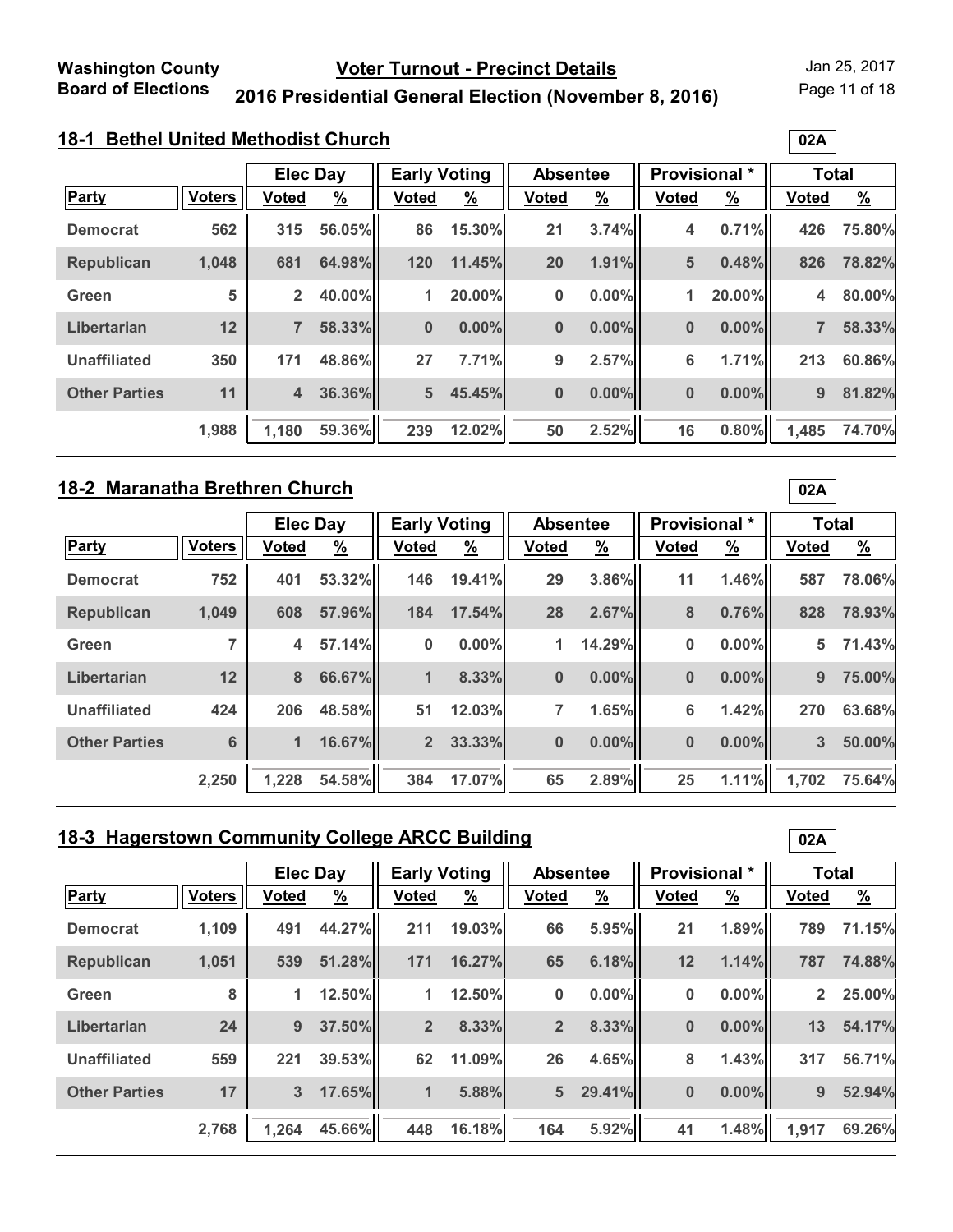Page 11 of 18

**02A**

### **2016 Presidential General Election (November 8, 2016)**

# **18-1 Bethel United Methodist Church**

|                      |               | <b>Elec Day</b> |               | <b>Early Voting</b> |               | <b>Absentee</b> |               | Provisional * |               | <b>Total</b> |               |
|----------------------|---------------|-----------------|---------------|---------------------|---------------|-----------------|---------------|---------------|---------------|--------------|---------------|
| <b>Party</b>         | <b>Voters</b> | Voted           | $\frac{9}{6}$ | <b>Voted</b>        | $\frac{9}{6}$ | <b>Voted</b>    | $\frac{9}{6}$ | <b>Voted</b>  | $\frac{9}{6}$ | <b>Voted</b> | $\frac{9}{6}$ |
| <b>Democrat</b>      | 562           | 315             | 56.05%        | 86                  | 15.30%        | 21              | 3.74%         | 4             | 0.71%         | 426          | 75.80%        |
| <b>Republican</b>    | 1,048         | 681             | 64.98%        | 120                 | 11.45%        | 20              | 1.91%         | 5             | 0.48%         | 826          | 78.82%        |
| Green                | 5             | $\overline{2}$  | 40.00%        | 1                   | 20.00%        | 0               | $0.00\%$      | 1             | 20.00%        | 4            | 80.00%        |
| Libertarian          | 12            | $\overline{7}$  | 58.33%        | $\bf{0}$            | $0.00\%$      | $\bf{0}$        | $0.00\%$      | $\bf{0}$      | $0.00\%$      | 7            | 58.33%        |
| <b>Unaffiliated</b>  | 350           | 171             | 48.86%        | 27                  | 7.71%         | 9               | 2.57%         | 6             | 1.71%         | 213          | 60.86%        |
| <b>Other Parties</b> | 11            | $\overline{4}$  | 36.36%        | 5                   | 45.45%        | $\bf{0}$        | $0.00\%$      | $\bf{0}$      | $0.00\%$      | 9            | 81.82%        |
|                      | 1,988         | 1,180           | 59.36%        | 239                 | 12.02%        | 50              | 2.52%         | 16            | 0.80%         | 1,485        | 74.70%        |

### **18-2 Maranatha Brethren Church**

|                      |               | <b>Elec Day</b> |          | <b>Early Voting</b> |               | <b>Absentee</b> |               | Provisional * |               | <b>Total</b> |               |
|----------------------|---------------|-----------------|----------|---------------------|---------------|-----------------|---------------|---------------|---------------|--------------|---------------|
| Party                | <b>Voters</b> | <b>Voted</b>    | <u>%</u> | <b>Voted</b>        | $\frac{9}{6}$ | <b>Voted</b>    | $\frac{9}{6}$ | <b>Voted</b>  | $\frac{9}{6}$ | <b>Voted</b> | $\frac{9}{6}$ |
| <b>Democrat</b>      | 752           | 401             | 53.32%   | 146                 | 19.41%        | 29              | 3.86%         | 11            | 1.46%         | 587          | 78.06%        |
| <b>Republican</b>    | 1,049         | 608             | 57.96%   | 184                 | 17.54%        | 28              | 2.67%         | 8             | 0.76%         | 828          | 78.93%        |
| Green                | ⇁             | 4               | 57.14%   | $\bf{0}$            | 0.00%         | 1               | 14.29%        | 0             | $0.00\%$      | 5            | 71.43%        |
| Libertarian          | 12            | 8               | 66.67%   | 1                   | 8.33%         | $\bf{0}$        | $0.00\%$      | $\bf{0}$      | $0.00\%$      | 9            | 75.00%        |
| <b>Unaffiliated</b>  | 424           | 206             | 48.58%   | 51                  | 12.03%        | 7               | 1.65%         | 6             | 1.42%         | 270          | 63.68%        |
| <b>Other Parties</b> | 6             | 1               | 16.67%   | 2 <sup>2</sup>      | 33.33%        | $\bf{0}$        | $0.00\%$      | $\bf{0}$      | $0.00\%$      | 3            | 50.00%        |
|                      | 2,250         | 1.228           | 54.58%   | 384                 | 17.07%        | 65              | 2.89%         | 25            | 1.11%         | 1.702        | 75.64%        |

### **18-3 Hagerstown Community College ARCC Building**

|                      |               | <b>Elec Day</b> |               | <b>Early Voting</b> |               | <b>Absentee</b> |               | <b>Provisional</b> * |               | <b>Total</b>   |               |
|----------------------|---------------|-----------------|---------------|---------------------|---------------|-----------------|---------------|----------------------|---------------|----------------|---------------|
| <b>Party</b>         | <b>Voters</b> | Voted           | $\frac{9}{6}$ | <b>Voted</b>        | $\frac{9}{6}$ | Voted           | $\frac{9}{6}$ | <b>Voted</b>         | $\frac{9}{6}$ | <b>Voted</b>   | $\frac{9}{6}$ |
| <b>Democrat</b>      | 1,109         | 491             | 44.27%        | 211                 | 19.03%        | 66              | 5.95%         | 21                   | 1.89%         | 789            | 71.15%        |
| <b>Republican</b>    | 1,051         | 539             | 51.28%        | 171                 | 16.27%        | 65              | 6.18%         | 12                   | 1.14%         | 787            | 74.88%        |
| Green                | 8             | 1               | 12.50%        | 1                   | 12.50%        | $\bf{0}$        | 0.00%         | 0                    | $0.00\%$      | 2 <sup>1</sup> | 25.00%        |
| Libertarian          | 24            | 9               | 37.50%        | 2 <sup>2</sup>      | 8.33%         | $\overline{2}$  | 8.33%         | $\bf{0}$             | $0.00\%$      | 13             | 54.17%        |
| <b>Unaffiliated</b>  | 559           | 221             | 39.53%        | 62                  | 11.09%        | 26              | 4.65%         | 8                    | 1.43%         | 317            | 56.71%        |
| <b>Other Parties</b> | 17            | 3               | 17.65%        | 1                   | 5.88%         | $5\phantom{1}$  | 29.41%        | $\bf{0}$             | $0.00\%$      | 9              | 52.94%        |
|                      | 2,768         | 1,264           | 45.66%        | 448                 | 16.18%        | 164             | 5.92%         | 41                   | 1.48%         | 1,917          | 69.26%        |

**02A**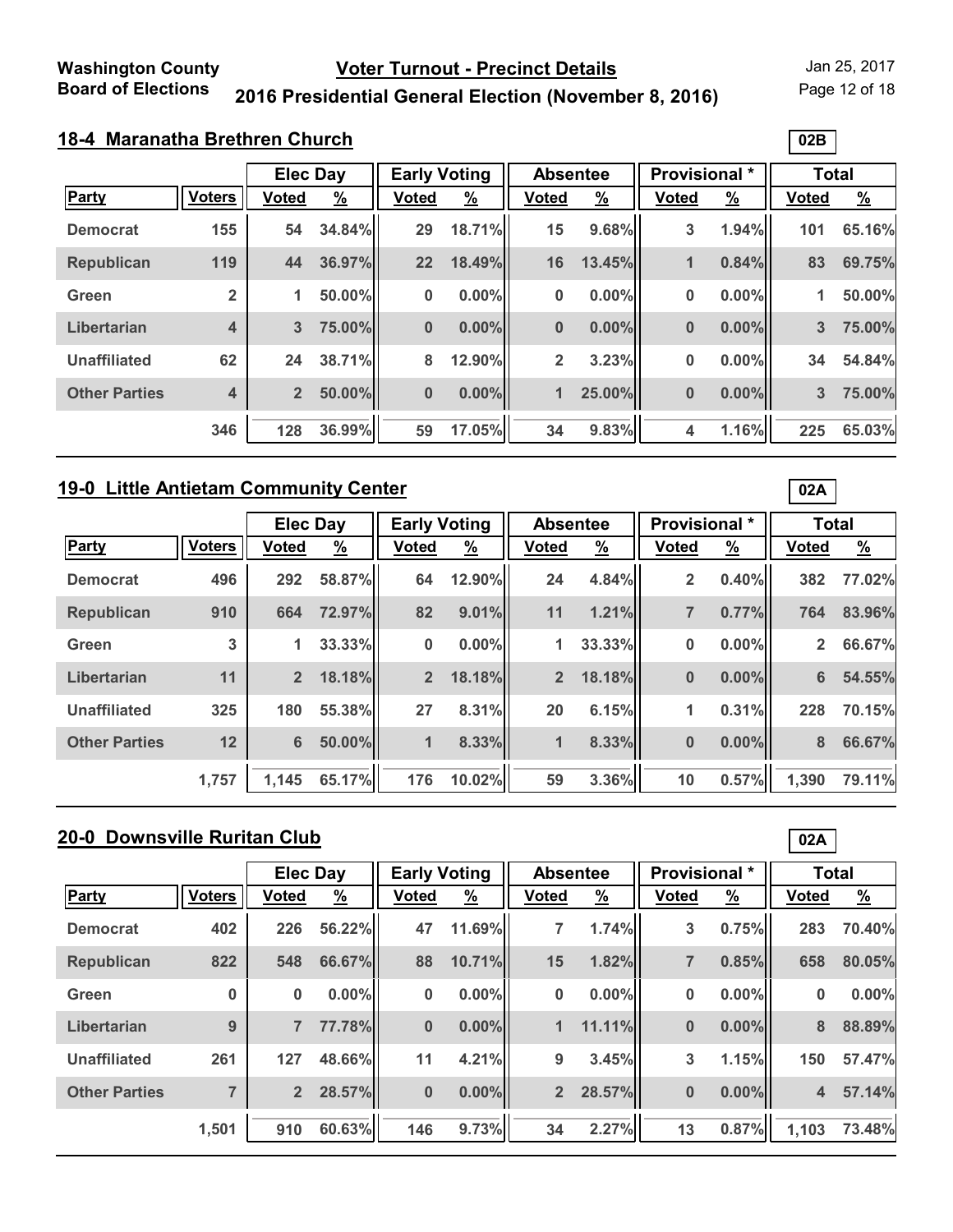Page 12 of 18

**02B**

# **2016 Presidential General Election (November 8, 2016)**

### **18-4 Maranatha Brethren Church**

|                      |                         | <b>Elec Day</b> |          | <b>Early Voting</b> |               | <b>Absentee</b> |               | Provisional * |               | <b>Total</b> |               |
|----------------------|-------------------------|-----------------|----------|---------------------|---------------|-----------------|---------------|---------------|---------------|--------------|---------------|
| <b>Party</b>         | <b>Voters</b>           | <b>Voted</b>    | <u>%</u> | <b>Voted</b>        | $\frac{9}{6}$ | <b>Voted</b>    | $\frac{9}{6}$ | <b>Voted</b>  | $\frac{9}{6}$ | <b>Voted</b> | $\frac{9}{6}$ |
| <b>Democrat</b>      | 155                     | 54              | 34.84%   | 29                  | 18.71%        | 15              | 9.68%         | 3             | 1.94%         | 101          | 65.16%        |
| <b>Republican</b>    | 119                     | 44              | 36.97%   | 22                  | 18.49%        | 16              | 13.45%        | $\mathbf{1}$  | 0.84%         | 83           | 69.75%        |
| Green                | $\overline{2}$          | 1               | 50.00%   | 0                   | 0.00%         | $\bf{0}$        | $0.00\%$      | 0             | $0.00\%$      | 1            | 50.00%        |
| Libertarian          | $\overline{\mathbf{4}}$ | 3               | 75.00%   | $\bf{0}$            | $0.00\%$      | $\bf{0}$        | $0.00\%$      | $\bf{0}$      | $0.00\%$      | 3            | 75.00%        |
| <b>Unaffiliated</b>  | 62                      | 24              | 38.71%   | 8                   | 12.90%        | $\overline{2}$  | 3.23%         | 0             | $0.00\%$      | 34           | 54.84%        |
| <b>Other Parties</b> | 4                       | $\overline{2}$  | 50.00%   | $\bf{0}$            | $0.00\%$      | 1               | 25.00%        | $\bf{0}$      | $0.00\%$      | 3            | 75.00%        |
|                      | 346                     | 128             | 36.99%   | 59                  | 17.05%        | 34              | 9.83%         | 4             | 1.16%         | 225          | 65.03%        |

#### **19-0 Little Antietam Community Center**

|                      |               | <b>Elec Day</b> |               | <b>Early Voting</b> |               | <b>Absentee</b> |               | Provisional *  |               | <b>Total</b>   |               |
|----------------------|---------------|-----------------|---------------|---------------------|---------------|-----------------|---------------|----------------|---------------|----------------|---------------|
| <b>Party</b>         | <b>Voters</b> | <b>Voted</b>    | $\frac{9}{6}$ | <b>Voted</b>        | $\frac{9}{6}$ | <b>Voted</b>    | $\frac{9}{6}$ | <b>Voted</b>   | $\frac{9}{6}$ | <b>Voted</b>   | $\frac{9}{6}$ |
| <b>Democrat</b>      | 496           | 292             | 58.87%        | 64                  | 12.90%        | 24              | 4.84%         | $\overline{2}$ | 0.40%         | 382            | 77.02%        |
| <b>Republican</b>    | 910           | 664             | 72.97%        | 82                  | 9.01%         | 11              | 1.21%         | $\overline{7}$ | 0.77%         | 764            | 83.96%        |
| Green                | 3             | 1               | 33.33%        | 0                   | 0.00%         | 1               | 33.33%        | 0              | $0.00\%$      | $\overline{2}$ | 66.67%        |
| Libertarian          | 11            | $\overline{2}$  | 18.18%        | $\overline{2}$      | 18.18%        | $\overline{2}$  | 18.18%        | 0              | $0.00\%$      | 6              | 54.55%        |
| <b>Unaffiliated</b>  | 325           | 180             | 55.38%        | 27                  | 8.31%         | 20              | 6.15%         | 1              | 0.31%         | 228            | 70.15%        |
| <b>Other Parties</b> | 12            | 6               | 50.00%        | $\blacksquare$      | 8.33%         | 1               | 8.33%         | $\bf{0}$       | $0.00\%$      | 8              | 66.67%        |
|                      | 1,757         | 1,145           | 65.17%        | 176                 | 10.02%        | 59              | 3.36%         | 10             | 0.57%         | 1,390          | 79.11%        |

# **20-0 Downsville Ruritan Club**

|                      |               | <b>Elec Day</b> |               | <b>Early Voting</b> |               | <b>Absentee</b> |               | <b>Provisional</b> * |               | <b>Total</b>   |               |
|----------------------|---------------|-----------------|---------------|---------------------|---------------|-----------------|---------------|----------------------|---------------|----------------|---------------|
| Party                | <b>Voters</b> | <b>Voted</b>    | $\frac{9}{6}$ | <b>Voted</b>        | $\frac{9}{6}$ | <b>Voted</b>    | $\frac{9}{6}$ | <b>Voted</b>         | $\frac{9}{6}$ | <b>Voted</b>   | $\frac{9}{6}$ |
| <b>Democrat</b>      | 402           | 226             | 56.22%        | 47                  | 11.69%        | 7               | 1.74%         | 3                    | 0.75%         | 283            | 70.40%        |
| <b>Republican</b>    | 822           | 548             | 66.67%        | 88                  | 10.71%        | 15              | 1.82%         | $\overline{7}$       | 0.85%         | 658            | 80.05%        |
| Green                | $\bf{0}$      | 0               | $0.00\%$      | 0                   | $0.00\%$      | 0               | $0.00\%$      | 0                    | $0.00\%$      | 0              | 0.00%         |
| Libertarian          | 9             | 7               | 77.78%        | $\bf{0}$            | 0.00%         | $\mathbf{1}$    | 11.11%        | $\bf{0}$             | $0.00\%$      | 8              | 88.89%        |
| <b>Unaffiliated</b>  | 261           | 127             | 48.66%        | 11                  | 4.21%         | 9               | 3.45%         | 3                    | 1.15%         | 150            | 57.47%        |
| <b>Other Parties</b> |               | $\overline{2}$  | 28.57%        | $\bf{0}$            | $0.00\%$      | 2 <sup>2</sup>  | 28.57%        | $\bf{0}$             | $0.00\%$      | $\overline{4}$ | 57.14%        |
|                      | 1,501         | 910             | 60.63%        | 146                 | 9.73%         | 34              | 2.27%         | 13                   | 0.87%         | 1,103          | 73.48%        |

**02A**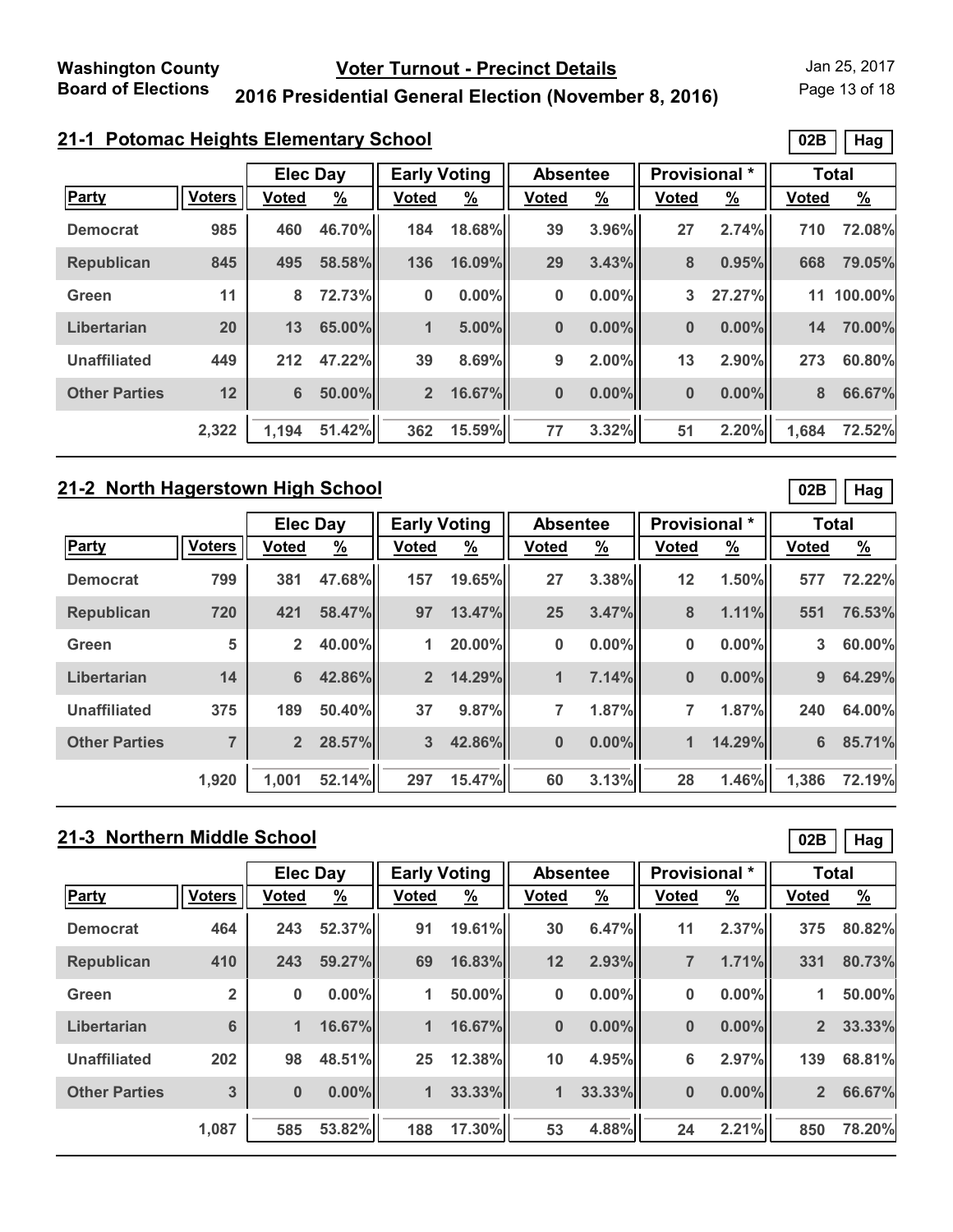Page 13 of 18

### **2016 Presidential General Election (November 8, 2016)**

# **21-1 Potomac Heights Elementary School**

|                      |               | <b>Elec Day</b> |               | <b>Early Voting</b> |               | <b>Absentee</b> |               | <b>Provisional</b> * |               |              | <b>Total</b>  |
|----------------------|---------------|-----------------|---------------|---------------------|---------------|-----------------|---------------|----------------------|---------------|--------------|---------------|
| <b>Party</b>         | <b>Voters</b> | <b>Voted</b>    | $\frac{9}{6}$ | <b>Voted</b>        | $\frac{9}{6}$ | <b>Voted</b>    | $\frac{9}{6}$ | <b>Voted</b>         | $\frac{9}{6}$ | <b>Voted</b> | $\frac{9}{6}$ |
| <b>Democrat</b>      | 985           | 460             | 46.70%        | 184                 | 18.68%        | 39              | 3.96%         | 27                   | 2.74%         | 710          | 72.08%        |
| <b>Republican</b>    | 845           | 495             | 58.58%        | 136                 | 16.09%        | 29              | 3.43%         | 8                    | 0.95%         | 668          | 79.05%        |
| Green                | 11            | 8               | 72.73%        | $\bf{0}$            | $0.00\%$      | 0               | $0.00\%$      | 3                    | 27.27%        |              | 11 100.00%    |
| Libertarian          | 20            | 13              | 65.00%        | 1                   | 5.00%         | $\bf{0}$        | $0.00\%$      | $\bf{0}$             | $0.00\%$      | 14           | 70.00%        |
| <b>Unaffiliated</b>  | 449           | 212             | 47.22%        | 39                  | 8.69%         | 9               | $2.00\%$      | 13                   | 2.90%         | 273          | 60.80%        |
| <b>Other Parties</b> | 12            | $6\phantom{a}$  | 50.00%        | 2 <sup>2</sup>      | 16.67%        | $\bf{0}$        | $0.00\%$      | $\bf{0}$             | $0.00\%$      | 8            | 66.67%        |
|                      | 2,322         | 1,194           | 51.42%        | 362                 | 15.59%        | 77              | 3.32%         | 51                   | 2.20%         | 1,684        | 72.52%        |

### **21-2 North Hagerstown High School**

|                      |               | <b>Elec Day</b> |          | <b>Early Voting</b> |               | <b>Absentee</b> |               | Provisional * |               | <b>Total</b> |               |
|----------------------|---------------|-----------------|----------|---------------------|---------------|-----------------|---------------|---------------|---------------|--------------|---------------|
| Party                | <b>Voters</b> | <b>Voted</b>    | <u>%</u> | <b>Voted</b>        | $\frac{9}{6}$ | <b>Voted</b>    | $\frac{9}{6}$ | <b>Voted</b>  | $\frac{9}{6}$ | <b>Voted</b> | $\frac{9}{6}$ |
| <b>Democrat</b>      | 799           | 381             | 47.68%   | 157                 | 19.65%        | 27              | 3.38%         | 12            | 1.50%         | 577          | 72.22%        |
| <b>Republican</b>    | 720           | 421             | 58.47%   | 97                  | 13.47%        | 25              | 3.47%         | 8             | 1.11%         | 551          | 76.53%        |
| Green                | 5             | $\mathbf{2}$    | 40.00%   | 1                   | 20.00%        | 0               | $0.00\%$      | 0             | $0.00\%$      | 3            | 60.00%        |
| Libertarian          | 14            | $6\phantom{1}$  | 42.86%   | $\overline{2}$      | 14.29%        | 1               | 7.14%         | $\bf{0}$      | $0.00\%$      | 9            | 64.29%        |
| <b>Unaffiliated</b>  | 375           | 189             | 50.40%   | 37                  | 9.87%         | 7               | 1.87%         | 7             | 1.87%         | 240          | 64.00%        |
| <b>Other Parties</b> |               | $\overline{2}$  | 28.57%   | 3                   | 42.86%        | $\bf{0}$        | $0.00\%$      | $\mathbf 1$   | 14.29%        | 6            | 85.71%        |
|                      | 1,920         | 1.001           | 52.14%   | 297                 | 15.47%        | 60              | 3.13%         | 28            | 1.46%         | 1,386        | 72.19%        |

# **21-3 Northern Middle School**

|                      |                | <b>Elec Day</b> |          | <b>Early Voting</b> |               | <b>Absentee</b> |               | <b>Provisional</b> * |               | <b>Total</b>   |               |
|----------------------|----------------|-----------------|----------|---------------------|---------------|-----------------|---------------|----------------------|---------------|----------------|---------------|
| <b>Party</b>         | <b>Voters</b>  | <b>Voted</b>    | <u>%</u> | <b>Voted</b>        | $\frac{9}{6}$ | <b>Voted</b>    | $\frac{9}{6}$ | <b>Voted</b>         | $\frac{9}{6}$ | <b>Voted</b>   | $\frac{9}{6}$ |
| <b>Democrat</b>      | 464            | 243             | 52.37%   | 91                  | 19.61%        | 30              | 6.47%         | 11                   | 2.37%         | 375            | 80.82%        |
| <b>Republican</b>    | 410            | 243             | 59.27%   | 69                  | 16.83%        | 12              | 2.93%         | $\overline{7}$       | 1.71%         | 331            | 80.73%        |
| Green                | $\overline{2}$ | $\bf{0}$        | $0.00\%$ | 1                   | 50.00%        | $\bf{0}$        | $0.00\%$      | 0                    | $0.00\%$      | 1              | 50.00%        |
| Libertarian          | 6              | 1               | 16.67%   | 1                   | 16.67%        | $\bf{0}$        | $0.00\%$      | $\bf{0}$             | $0.00\%$      | 2 <sup>2</sup> | 33.33%        |
| <b>Unaffiliated</b>  | 202            | 98              | 48.51%   | 25                  | 12.38%        | 10              | 4.95%         | 6                    | 2.97%         | 139            | 68.81%        |
| <b>Other Parties</b> | 3              | $\bf{0}$        | $0.00\%$ | 1                   | 33.33%        | $\mathbf{1}$    | 33.33%        | $\bf{0}$             | $0.00\%$      | $\overline{2}$ | 66.67%        |
|                      | 1,087          | 585             | 53.82%   | 188                 | 17.30%        | 53              | 4.88%         | 24                   | 2.21%         | 850            | 78.20%        |

**02B Hag**

**02B Hag**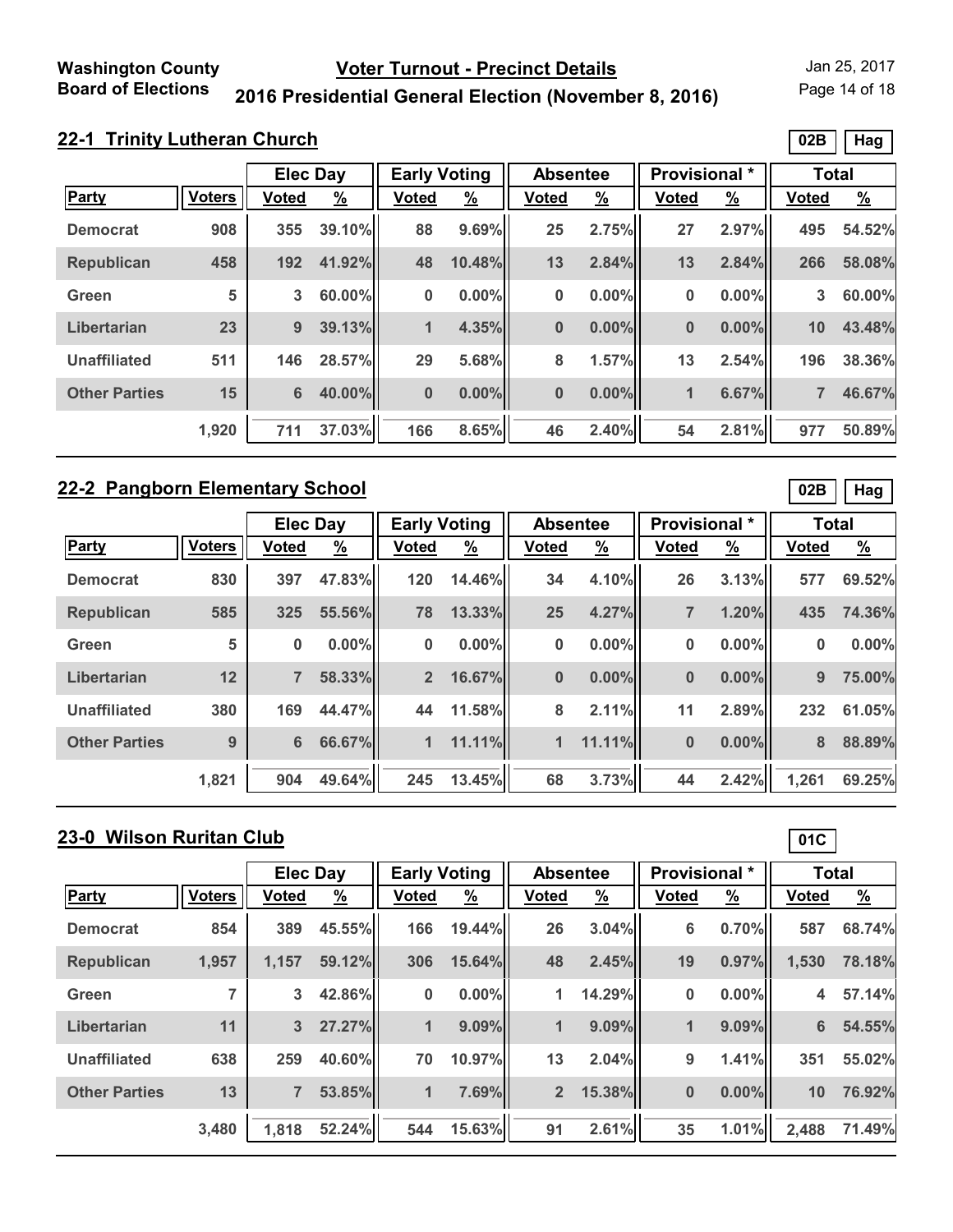Page 14 of 18

### **2016 Presidential General Election (November 8, 2016)**

|  | 22-1 Trinity Lutheran Church |  |
|--|------------------------------|--|
|  |                              |  |

|                      |               | <b>Elec Day</b> |               | <b>Early Voting</b> |               | <b>Absentee</b> |               | Provisional * |               | <b>Total</b> |               |
|----------------------|---------------|-----------------|---------------|---------------------|---------------|-----------------|---------------|---------------|---------------|--------------|---------------|
| <b>Party</b>         | <b>Voters</b> | Voted           | $\frac{9}{6}$ | <b>Voted</b>        | $\frac{9}{6}$ | <b>Voted</b>    | $\frac{9}{6}$ | <b>Voted</b>  | $\frac{9}{6}$ | <b>Voted</b> | $\frac{9}{6}$ |
| <b>Democrat</b>      | 908           | 355             | 39.10%        | 88                  | 9.69%         | 25              | 2.75%         | 27            | 2.97%         | 495          | 54.52%        |
| <b>Republican</b>    | 458           | 192             | 41.92%        | 48                  | 10.48%        | 13              | 2.84%         | 13            | 2.84%         | 266          | 58.08%        |
| Green                | 5             | 3               | $60.00\%$     | $\bf{0}$            | $0.00\%$      | 0               | $0.00\%$      | 0             | $0.00\%$      | 3            | 60.00%        |
| Libertarian          | 23            | 9               | 39.13%        | $\mathbf{1}$        | 4.35%         | $\bf{0}$        | $0.00\%$      | $\bf{0}$      | $0.00\%$      | 10           | 43.48%        |
| <b>Unaffiliated</b>  | 511           | 146             | 28.57%        | 29                  | 5.68%         | 8               | 1.57%         | 13            | 2.54%         | 196          | 38.36%        |
| <b>Other Parties</b> | 15            | $6\phantom{1}$  | 40.00%        | $\bf{0}$            | $0.00\%$      | $\bf{0}$        | $0.00\%$      | $\mathbf{1}$  | 6.67%         |              | 46.67%        |
|                      | 1,920         | 711             | 37.03%        | 166                 | 8.65%         | 46              | 2.40%         | 54            | 2.81%         | 977          | 50.89%        |

### **22-2 Pangborn Elementary School**

|                      |               | <b>Elec Day</b> |               | <b>Early Voting</b> |               | <b>Absentee</b> |               | <b>Provisional</b> * |          | <b>Total</b> |          |
|----------------------|---------------|-----------------|---------------|---------------------|---------------|-----------------|---------------|----------------------|----------|--------------|----------|
| <b>Party</b>         | <b>Voters</b> | <b>Voted</b>    | $\frac{9}{6}$ | <b>Voted</b>        | $\frac{9}{6}$ | <b>Voted</b>    | $\frac{9}{6}$ | <b>Voted</b>         | <u>%</u> | <b>Voted</b> | <u>%</u> |
| <b>Democrat</b>      | 830           | 397             | 47.83%        | 120                 | 14.46%        | 34              | 4.10%         | 26                   | 3.13%    | 577          | 69.52%   |
| <b>Republican</b>    | 585           | 325             | 55.56%        | 78                  | 13.33%        | 25              | 4.27%         | 7                    | 1.20%    | 435          | 74.36%   |
| Green                | 5             | $\bf{0}$        | 0.00%         | $\bf{0}$            | $0.00\%$      | 0               | 0.00%         | 0                    | $0.00\%$ | $\bf{0}$     | $0.00\%$ |
| Libertarian          | 12            | $\overline{7}$  | 58.33%        | 2 <sup>1</sup>      | 16.67%        | $\bf{0}$        | $0.00\%$      | $\bf{0}$             | $0.00\%$ | 9            | 75.00%   |
| Unaffiliated         | 380           | 169             | 44.47%        | 44                  | 11.58%        | 8               | 2.11%         | 11                   | 2.89%    | 232          | 61.05%   |
| <b>Other Parties</b> | 9             | $6\phantom{1}$  | 66.67%        | $\blacksquare$      | 11.11%        | 1               | 11.11%        | $\bf{0}$             | $0.00\%$ | 8            | 88.89%   |
|                      | 1,821         | 904             | 49.64%        | 245                 | 13.45%        | 68              | 3.73%         | 44                   | 2.42%    | 1,261        | 69.25%   |

# **23-0 Wilson Ruritan Club**

|                      |               | <b>Elec Day</b> |               | <b>Early Voting</b> |               | <b>Absentee</b> |               | <b>Provisional</b> * |               | <b>Total</b>            |               |
|----------------------|---------------|-----------------|---------------|---------------------|---------------|-----------------|---------------|----------------------|---------------|-------------------------|---------------|
| <b>Party</b>         | <b>Voters</b> | <b>Voted</b>    | $\frac{9}{6}$ | <b>Voted</b>        | $\frac{9}{6}$ | <b>Voted</b>    | $\frac{9}{6}$ | <b>Voted</b>         | $\frac{9}{6}$ | <b>Voted</b>            | $\frac{9}{6}$ |
| <b>Democrat</b>      | 854           | 389             | 45.55%        | 166                 | 19.44%        | 26              | 3.04%         | 6                    | 0.70%         | 587                     | 68.74%        |
| <b>Republican</b>    | 1,957         | 1,157           | 59.12%        | 306                 | 15.64%        | 48              | 2.45%         | 19                   | 0.97%         | 1,530                   | 78.18%        |
| Green                | 7             | 3               | 42.86%        | 0                   | $0.00\%$      | 1               | 14.29%        | 0                    | $0.00\%$      | $\overline{\mathbf{4}}$ | 57.14%        |
| Libertarian          | 11            | 3               | 27.27%        | 1                   | $9.09\%$      | 1               | $9.09\%$      | 1                    | $9.09\%$      | 6                       | 54.55%        |
| <b>Unaffiliated</b>  | 638           | 259             | 40.60%        | 70                  | 10.97%        | 13              | 2.04%         | 9                    | 1.41%         | 351                     | 55.02%        |
| <b>Other Parties</b> | 13            |                 | 53.85%        | 1                   | 7.69%         | $\overline{2}$  | 15.38%        | $\bf{0}$             | $0.00\%$      | 10                      | 76.92%        |
|                      | 3,480         | 1,818           | 52.24%        | 544                 | 15.63%        | 91              | 2.61%         | 35                   | 1.01%         | 2,488                   | 71.49%        |

**02B Hag**

**01C**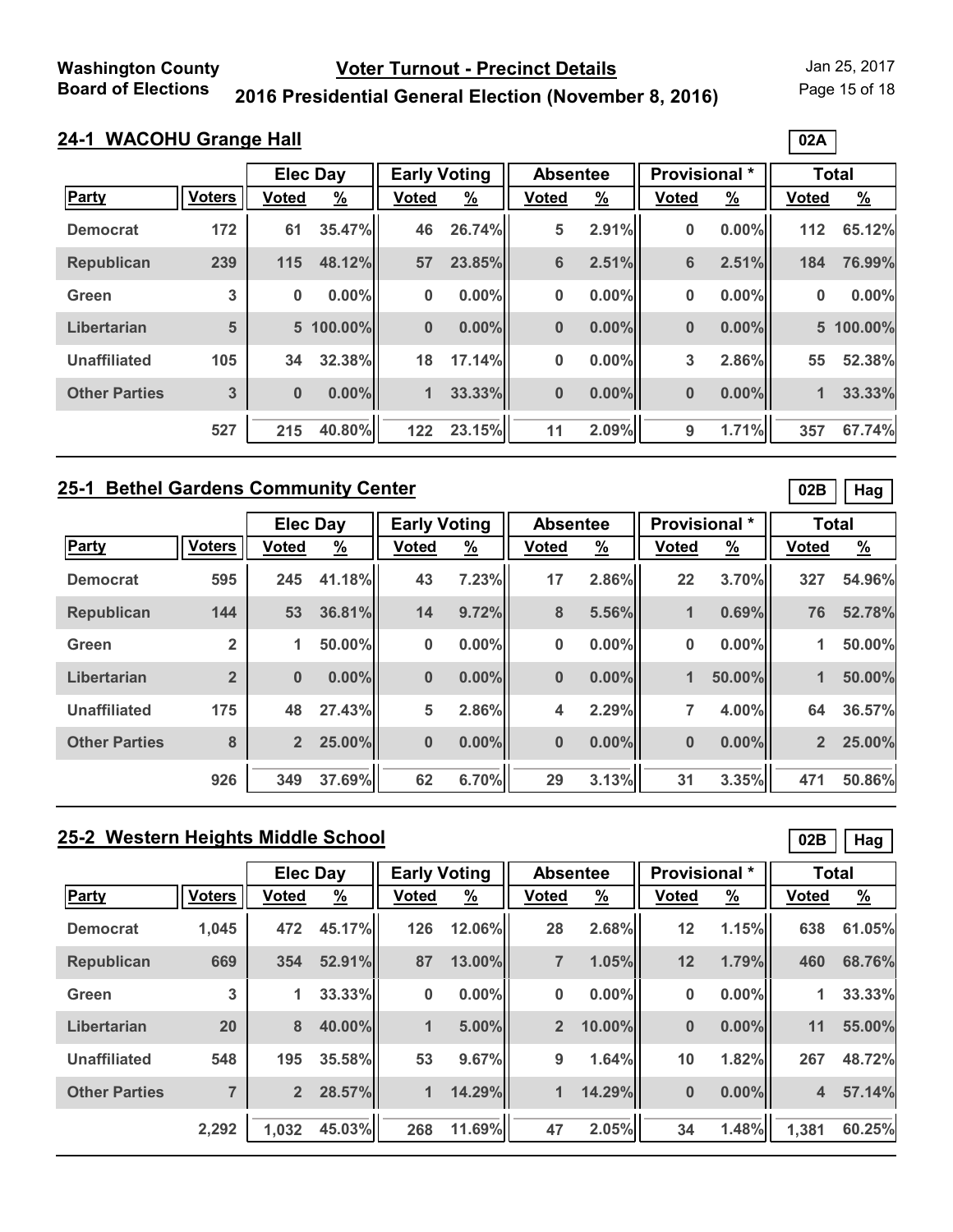Page 15 of 18

# **2016 Presidential General Election (November 8, 2016)**

# **24-1 WACOHU Grange Hall**

|                      |               |          | <b>Elec Day</b> | <b>Early Voting</b> |               | <b>Absentee</b> |               | <b>Provisional</b> * |               | <b>Total</b> |               |
|----------------------|---------------|----------|-----------------|---------------------|---------------|-----------------|---------------|----------------------|---------------|--------------|---------------|
| Party                | <b>Voters</b> | Voted    | $\frac{9}{6}$   | <b>Voted</b>        | $\frac{9}{6}$ | <b>Voted</b>    | $\frac{9}{6}$ | <b>Voted</b>         | $\frac{9}{6}$ | <b>Voted</b> | $\frac{9}{6}$ |
| <b>Democrat</b>      | 172           | 61       | 35.47%          | 46                  | 26.74%        | 5               | 2.91%         | 0                    | $0.00\%$      | 112          | 65.12%        |
| <b>Republican</b>    | 239           | 115      | 48.12%          | 57                  | 23.85%        | $6\phantom{1}$  | 2.51%         | 6                    | 2.51%         | 184          | 76.99%        |
| Green                | 3             | 0        | $0.00\%$        | $\bf{0}$            | 0.00%         | $\bf{0}$        | $0.00\%$      | 0                    | $0.00\%$      | $\bf{0}$     | 0.00%         |
| Libertarian          | 5             |          | 5 100.00%       | $\bf{0}$            | $0.00\%$      | $\bf{0}$        | $0.00\%$      | $\bf{0}$             | 0.00%         |              | 5 100.00%     |
| <b>Unaffiliated</b>  | 105           | 34       | 32.38%          | 18                  | 17.14%        | $\bf{0}$        | $0.00\%$      | 3                    | 2.86%         | 55           | 52.38%        |
| <b>Other Parties</b> | 3             | $\bf{0}$ | $0.00\%$        | $\mathbf{1}$        | 33.33%        | $\bf{0}$        | $0.00\%$      | $\bf{0}$             | 0.00%         | 1            | 33.33%        |
|                      | 527           | 215      | 40.80%          | 122                 | 23.15%        | 11              | 2.09%         | 9                    | 1.71%         | 357          | 67.74%        |

### **25-1 Bethel Gardens Community Center**

|                      |                | <b>Elec Day</b> |               | <b>Early Voting</b> |               | <b>Absentee</b> |          | Provisional *        |               | <b>Total</b>   |               |
|----------------------|----------------|-----------------|---------------|---------------------|---------------|-----------------|----------|----------------------|---------------|----------------|---------------|
| Party                | <b>Voters</b>  | <b>Voted</b>    | $\frac{9}{6}$ | <b>Voted</b>        | $\frac{9}{6}$ | <b>Voted</b>    | <u>%</u> | <b>Voted</b>         | $\frac{9}{6}$ | <b>Voted</b>   | $\frac{9}{6}$ |
| <b>Democrat</b>      | 595            | 245             | 41.18%        | 43                  | 7.23%         | 17              | 2.86%    | 22                   | 3.70%         | 327            | 54.96%        |
| <b>Republican</b>    | 144            | 53              | 36.81%        | 14                  | 9.72%         | 8               | 5.56%    | 1                    | 0.69%         | 76             | 52.78%        |
| Green                | $\overline{2}$ | 1               | 50.00%        | 0                   | 0.00%         | 0               | $0.00\%$ | 0                    | $0.00\%$      | 1              | 50.00%        |
| Libertarian          | $\overline{2}$ | $\bf{0}$        | $0.00\%$      | $\bf{0}$            | $0.00\%$      | $\bf{0}$        | $0.00\%$ | $\blacktriangleleft$ | 50.00%        | 1              | 50.00%        |
| <b>Unaffiliated</b>  | 175            | 48              | 27.43%        | 5                   | 2.86%         | 4               | 2.29%    | $\overline{7}$       | 4.00%         | 64             | 36.57%        |
| <b>Other Parties</b> | 8              | $\overline{2}$  | 25.00%        | $\bf{0}$            | $0.00\%$      | $\bf{0}$        | $0.00\%$ | 0                    | 0.00%         | $\overline{2}$ | 25.00%        |
|                      | 926            | 349             | 37.69%        | 62                  | 6.70%         | 29              | 3.13%    | 31                   | 3.35%         | 471            | 50.86%        |

# **25-2 Western Heights Middle School**

|                      |                | <b>Elec Day</b> |               | <b>Early Voting</b> |               | <b>Absentee</b> |               | <b>Provisional</b> * |               | <b>Total</b> |               |
|----------------------|----------------|-----------------|---------------|---------------------|---------------|-----------------|---------------|----------------------|---------------|--------------|---------------|
| <b>Party</b>         | <b>Voters</b>  | <b>Voted</b>    | $\frac{9}{6}$ | <b>Voted</b>        | $\frac{9}{6}$ | <b>Voted</b>    | $\frac{9}{6}$ | <b>Voted</b>         | $\frac{9}{6}$ | <b>Voted</b> | $\frac{9}{6}$ |
| <b>Democrat</b>      | 1,045          | 472             | 45.17%        | 126                 | 12.06%        | 28              | 2.68%         | 12                   | 1.15%         | 638          | 61.05%        |
| <b>Republican</b>    | 669            | 354             | 52.91%        | 87                  | 13.00%        | $\overline{7}$  | 1.05%         | 12                   | 1.79%         | 460          | 68.76%        |
| Green                | 3              | 1               | 33.33%        | 0                   | $0.00\%$      | $\bf{0}$        | $0.00\%$      | 0                    | $0.00\%$      | 1            | 33.33%        |
| Libertarian          | 20             | 8               | 40.00%        | 1                   | 5.00%         | $\overline{2}$  | 10.00%        | $\bf{0}$             | $0.00\%$      | 11           | 55.00%        |
| <b>Unaffiliated</b>  | 548            | 195             | 35.58%        | 53                  | 9.67%         | 9               | 1.64%         | 10                   | 1.82%         | 267          | 48.72%        |
| <b>Other Parties</b> | $\overline{7}$ | $\overline{2}$  | 28.57%        | 1                   | 14.29%        | $\blacksquare$  | 14.29%        | $\bf{0}$             | $0.00\%$      | 4            | 57.14%        |
|                      | 2,292          | 1,032           | 45.03%        | 268                 | 11.69%        | 47              | 2.05%         | 34                   | 1.48%         | 1,381        | 60.25%        |

**02B Hag**

**02B Hag**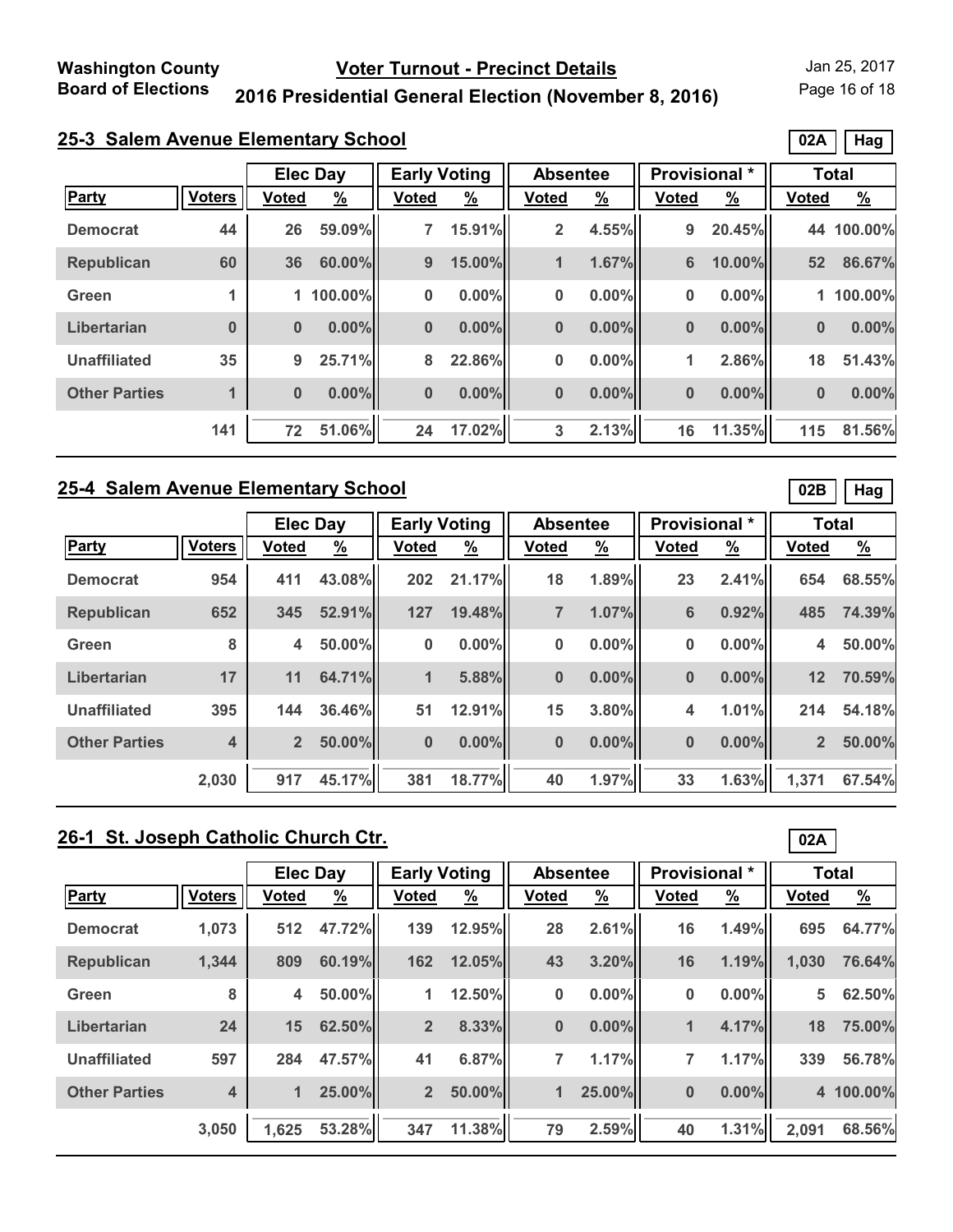Page 16 of 18

**02A Hag**

### **2016 Presidential General Election (November 8, 2016)**

# **25-3 Salem Avenue Elementary School**

|                      |               |              | <b>Elec Day</b> | <b>Early Voting</b> |               | <b>Absentee</b> |               | Provisional * |               | <b>Total</b> |               |
|----------------------|---------------|--------------|-----------------|---------------------|---------------|-----------------|---------------|---------------|---------------|--------------|---------------|
| Party                | <b>Voters</b> | <b>Voted</b> | $\frac{9}{6}$   | <b>Voted</b>        | $\frac{9}{6}$ | <b>Voted</b>    | $\frac{9}{6}$ | <b>Voted</b>  | $\frac{9}{6}$ | <b>Voted</b> | $\frac{9}{6}$ |
| <b>Democrat</b>      | 44            | 26           | 59.09%          | $\overline{7}$      | 15.91%        | $\overline{2}$  | 4.55%         | 9             | 20.45%        | 44           | 100.00%       |
| <b>Republican</b>    | 60            | 36           | 60.00%          | 9                   | 15.00%        | 1               | 1.67%         | 6             | 10.00%        | 52           | 86.67%        |
| Green                |               |              | 1 100.00%       | $\bf{0}$            | $0.00\%$      | $\bf{0}$        | $0.00\%$      | 0             | $0.00\%$      |              | 1 100.00%     |
| Libertarian          | $\bf{0}$      | $\bf{0}$     | $0.00\%$        | $\bf{0}$            | $0.00\%$      | $\bf{0}$        | $0.00\%$      | $\bf{0}$      | $0.00\%$      | $\bf{0}$     | 0.00%         |
| Unaffiliated         | 35            | 9            | 25.71%          | 8                   | 22.86%        | 0               | $0.00\%$      | 1             | 2.86%         | 18           | 51.43%        |
| <b>Other Parties</b> |               | $\bf{0}$     | $0.00\%$        | $\bf{0}$            | $0.00\%$      | $\bf{0}$        | $0.00\%$      | $\bf{0}$      | $0.00\%$      | $\bf{0}$     | 0.00%         |
|                      | 141           | 72           | 51.06%          | 24                  | 17.02%        | 3               | 2.13%         | 16            | 11.35%        | 115          | 81.56%        |

#### **25-4 Salem Avenue Elementary School**

|                      |               | <b>Elec Day</b> |               | <b>Early Voting</b> |               | <b>Absentee</b> |               | Provisional * |               | <b>Total</b>   |               |
|----------------------|---------------|-----------------|---------------|---------------------|---------------|-----------------|---------------|---------------|---------------|----------------|---------------|
| <b>Party</b>         | <b>Voters</b> | <b>Voted</b>    | $\frac{9}{6}$ | <b>Voted</b>        | $\frac{9}{6}$ | <b>Voted</b>    | $\frac{9}{6}$ | <b>Voted</b>  | $\frac{9}{6}$ | <b>Voted</b>   | $\frac{9}{6}$ |
| <b>Democrat</b>      | 954           | 411             | 43.08%        | 202                 | 21.17%        | 18              | 1.89%         | 23            | 2.41%         | 654            | 68.55%        |
| <b>Republican</b>    | 652           | 345             | 52.91%        | 127                 | 19.48%        | 7               | 1.07%         | 6             | 0.92%         | 485            | 74.39%        |
| Green                | 8             | 4               | 50.00%        | 0                   | $0.00\%$      | 0               | 0.00%         | 0             | $0.00\%$      | 4              | 50.00%        |
| Libertarian          | 17            | 11              | 64.71%        | $\mathbf{1}$        | 5.88%         | $\bf{0}$        | $0.00\%$      | $\bf{0}$      | $0.00\%$      | 12             | 70.59%        |
| <b>Unaffiliated</b>  | 395           | 144             | 36.46%        | 51                  | 12.91%        | 15              | 3.80%         | 4             | 1.01%         | 214            | 54.18%        |
| <b>Other Parties</b> | 4             | $\overline{2}$  | 50.00%        | $\bf{0}$            | $0.00\%$      | $\bf{0}$        | $0.00\%$      | $\bf{0}$      | 0.00%         | $\overline{2}$ | 50.00%        |
|                      | 2,030         | 917             | 45.17%        | 381                 | 18.77%        | 40              | 1.97%         | 33            | 1.63%         | 1.371          | 67.54%        |

# **26-1 St. Joseph Catholic Church Ctr.**

|                      |                         | <b>Elec Day</b> |               | <b>Early Voting</b> |               | <b>Absentee</b> |               | <b>Provisional</b> * |               | <b>Total</b> |               |
|----------------------|-------------------------|-----------------|---------------|---------------------|---------------|-----------------|---------------|----------------------|---------------|--------------|---------------|
| Party                | <b>Voters</b>           | <b>Voted</b>    | $\frac{9}{6}$ | Voted               | $\frac{9}{6}$ | <b>Voted</b>    | $\frac{9}{6}$ | <b>Voted</b>         | $\frac{9}{6}$ | <b>Voted</b> | $\frac{9}{6}$ |
| <b>Democrat</b>      | 1,073                   | 512             | 47.72%        | 139                 | 12.95%        | 28              | 2.61%         | 16                   | 1.49%         | 695          | 64.77%        |
| <b>Republican</b>    | 1,344                   | 809             | 60.19%        | 162                 | 12.05%        | 43              | 3.20%         | 16                   | 1.19%         | 1,030        | 76.64%        |
| Green                | 8                       | 4               | 50.00%        | 1                   | 12.50%        | 0               | $0.00\%$      | $\bf{0}$             | $0.00\%$      | 5            | 62.50%        |
| Libertarian          | 24                      | 15              | 62.50%        | $\overline{2}$      | 8.33%         | $\bf{0}$        | $0.00\%$      | 1                    | 4.17%         | 18           | 75.00%        |
| <b>Unaffiliated</b>  | 597                     | 284             | 47.57%        | 41                  | 6.87%         | 7               | 1.17%         | 7                    | 1.17%         | 339          | 56.78%        |
| <b>Other Parties</b> | $\overline{\mathbf{4}}$ | 1               | 25.00%        | 2 <sup>2</sup>      | 50.00%        | $\mathbf 1$     | 25.00%        | $\bf{0}$             | $0.00\%$      |              | 4 100.00%     |
|                      | 3,050                   | 1,625           | 53.28%        | 347                 | 11.38%        | 79              | 2.59%         | 40                   | 1.31%         | 2,091        | 68.56%        |

**02B Hag**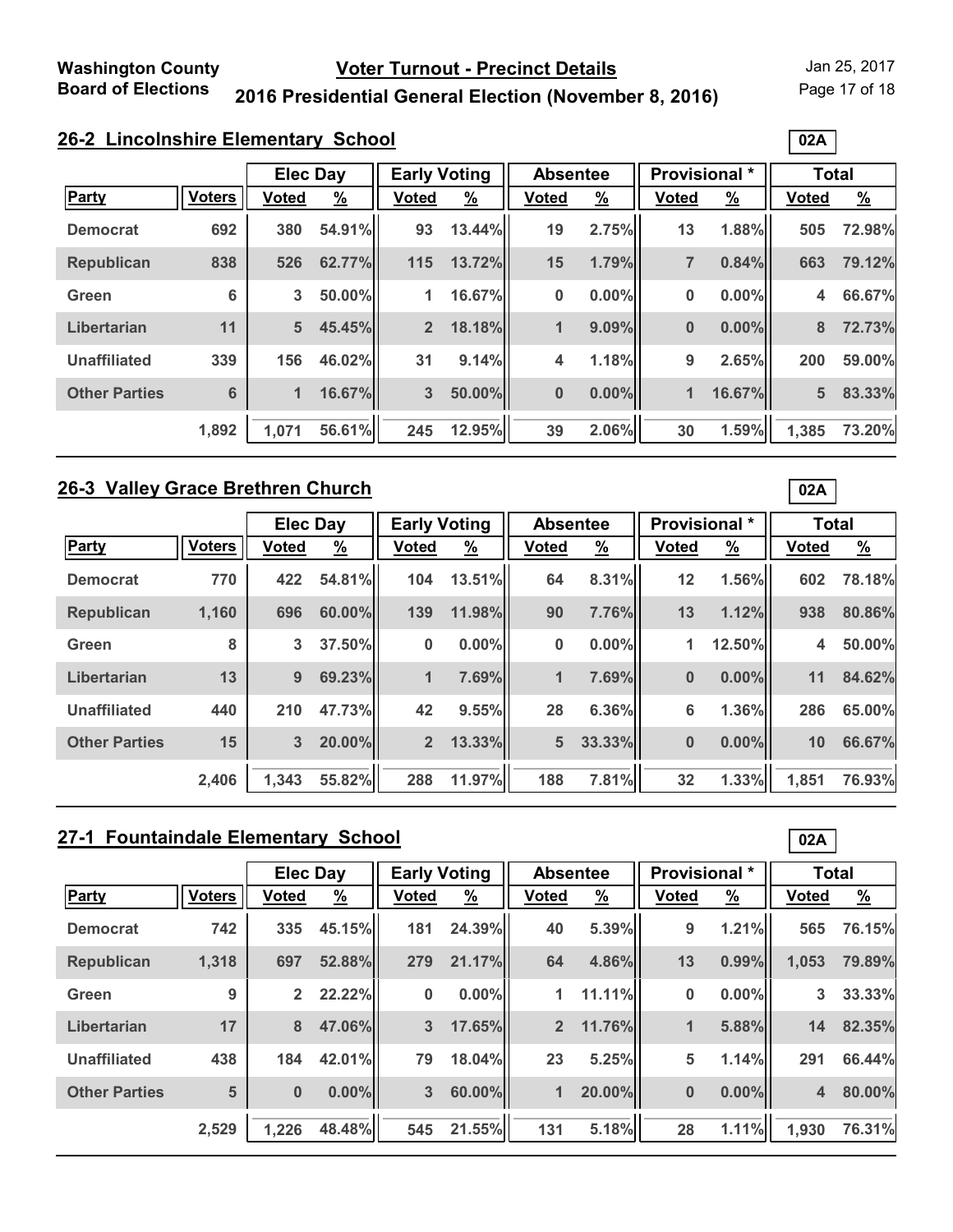Page 17 of 18

**02A**

**02A**

**02A**

### **2016 Presidential General Election (November 8, 2016)**

| 26-2 Lincolnshire Elementary School |
|-------------------------------------|
|-------------------------------------|

|                      |                 | <b>Elec Day</b> |          | <b>Early Voting</b> |               | <b>Absentee</b> |               | Provisional *  |               | <b>Total</b>   |          |
|----------------------|-----------------|-----------------|----------|---------------------|---------------|-----------------|---------------|----------------|---------------|----------------|----------|
| <b>Party</b>         | <b>Voters</b>   | <b>Voted</b>    | <u>%</u> | <b>Voted</b>        | $\frac{9}{6}$ | <b>Voted</b>    | $\frac{9}{6}$ | <b>Voted</b>   | $\frac{9}{6}$ | <b>Voted</b>   | <u>%</u> |
| <b>Democrat</b>      | 692             | 380             | 54.91%   | 93                  | 13.44%        | 19              | 2.75%         | 13             | 1.88%         | 505            | 72.98%   |
| <b>Republican</b>    | 838             | 526             | 62.77%   | 115                 | 13.72%        | 15              | 1.79%         | $\overline{7}$ | 0.84%         | 663            | 79.12%   |
| Green                | 6               | 3               | 50.00%   | 1                   | 16.67%        | $\bf{0}$        | $0.00\%$      | 0              | 0.00%         | 4              | 66.67%   |
| Libertarian          | 11              | 5 <sup>5</sup>  | 45.45%   | $2^{\circ}$         | 18.18%        | 1               | 9.09%         | $\bf{0}$       | 0.00%         | 8              | 72.73%   |
| <b>Unaffiliated</b>  | 339             | 156             | 46.02%   | 31                  | 9.14%         | 4               | 1.18%         | 9              | 2.65%         | 200            | 59.00%   |
| <b>Other Parties</b> | $6\phantom{1}6$ | $\mathbf{1}$    | 16.67%   | 3                   | 50.00%        | $\bf{0}$        | $0.00\%$      | $\mathbf{1}$   | 16.67%        | $5\phantom{1}$ | 83.33%   |
|                      | 1,892           | 1,071           | 56.61%   | 245                 | 12.95%        | 39              | 2.06%         | 30             | 1.59%         | 1,385          | 73.20%   |

### **26-3 Valley Grace Brethren Church**

|                      |               | <b>Elec Day</b> |          | <b>Early Voting</b> |               | <b>Absentee</b> |               | Provisional * |               | <b>Total</b> |               |
|----------------------|---------------|-----------------|----------|---------------------|---------------|-----------------|---------------|---------------|---------------|--------------|---------------|
| Party                | <b>Voters</b> | <b>Voted</b>    | <u>%</u> | <b>Voted</b>        | $\frac{9}{6}$ | <b>Voted</b>    | $\frac{9}{6}$ | <b>Voted</b>  | $\frac{9}{6}$ | <b>Voted</b> | $\frac{9}{6}$ |
| <b>Democrat</b>      | 770           | 422             | 54.81%   | 104                 | 13.51%        | 64              | 8.31%         | 12            | 1.56%         | 602          | 78.18%        |
| <b>Republican</b>    | 1,160         | 696             | 60.00%   | 139                 | 11.98%        | 90              | 7.76%         | 13            | 1.12%         | 938          | 80.86%        |
| Green                | 8             | 3               | 37.50%   | 0                   | 0.00%         | 0               | $0.00\%$      | 1             | 12.50%        | 4            | 50.00%        |
| Libertarian          | 13            | 9               | 69.23%   | 1                   | 7.69%         | 1               | 7.69%         | $\bf{0}$      | $0.00\%$      | 11           | 84.62%        |
| <b>Unaffiliated</b>  | 440           | 210             | 47.73%   | 42                  | 9.55%         | 28              | 6.36%         | 6             | 1.36%         | 286          | 65.00%        |
| <b>Other Parties</b> | 15            | 3               | 20.00%   | 2 <sup>1</sup>      | 13.33%        | 5               | 33.33%        | $\bf{0}$      | $0.00\%$      | 10           | 66.67%        |
|                      | 2,406         | 1.343           | 55.82%   | 288                 | 11.97%        | 188             | 7.81%         | 32            | 1.33%         | 1.851        | 76.93%        |

# **27-1 Fountaindale Elementary School**

|                      |               | <b>Elec Day</b> |               | <b>Early Voting</b> |                       | <b>Absentee</b>      |               | <b>Provisional</b> * |               | <b>Total</b> |               |
|----------------------|---------------|-----------------|---------------|---------------------|-----------------------|----------------------|---------------|----------------------|---------------|--------------|---------------|
| Party                | <b>Voters</b> | <b>Voted</b>    | $\frac{9}{6}$ | <b>Voted</b>        | $\frac{\%}{\sqrt{2}}$ | Voted                | $\frac{9}{6}$ | <b>Voted</b>         | $\frac{9}{6}$ | <b>Voted</b> | $\frac{9}{6}$ |
| <b>Democrat</b>      | 742           | 335             | 45.15%        | 181                 | 24.39%                | 40                   | 5.39%         | 9                    | 1.21%         | 565          | 76.15%        |
| <b>Republican</b>    | 1,318         | 697             | 52.88%        | 279                 | 21.17%                | 64                   | 4.86%         | 13                   | $0.99\%$      | 1,053        | 79.89%        |
| Green                | 9             | $\overline{2}$  | 22.22%        | 0                   | 0.00%                 | 1                    | 11.11%        | 0                    | $0.00\%$      | 3            | 33.33%        |
| Libertarian          | 17            | 8               | 47.06%        | 3                   | 17.65%                | 2 <sup>2</sup>       | 11.76%        | 1                    | 5.88%         | 14           | 82.35%        |
| <b>Unaffiliated</b>  | 438           | 184             | 42.01%        | 79                  | 18.04%                | 23                   | 5.25%         | 5                    | 1.14%         | 291          | 66.44%        |
| <b>Other Parties</b> | 5             | $\bf{0}$        | $0.00\%$      | $\overline{3}$      | 60.00%                | $\blacktriangleleft$ | 20.00%        | $\bf{0}$             | $0.00\%$      | 4            | 80.00%        |
|                      | 2,529         | 1,226           | 48.48%        | 545                 | 21.55%                | 131                  | 5.18%         | 28                   | 1.11%         | 1,930        | 76.31%        |